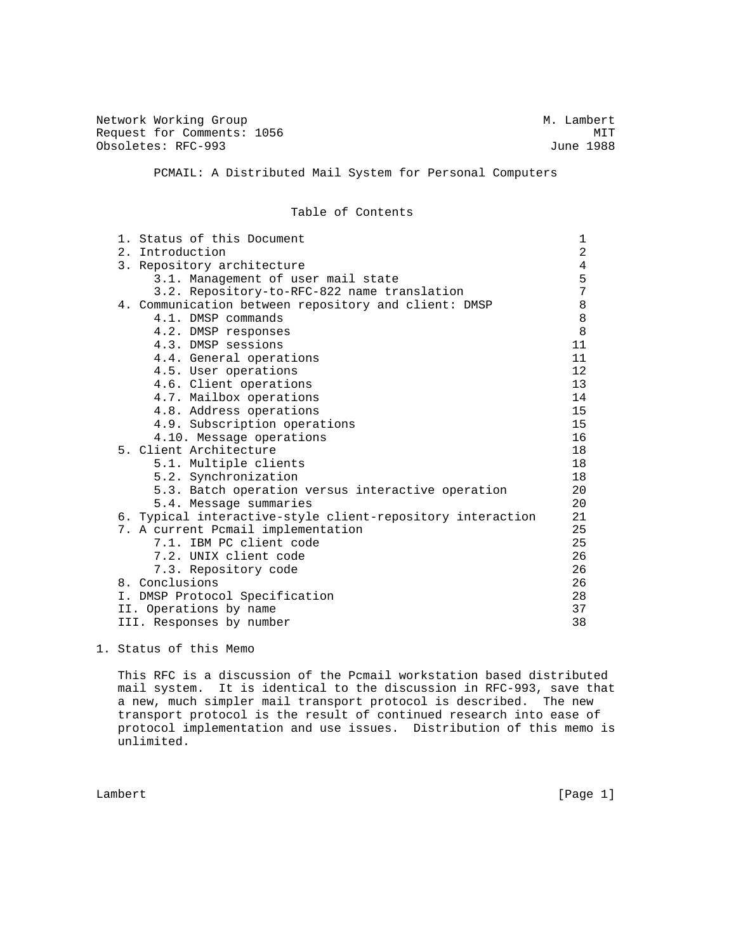Network Working Group Methods and M. Lambert Request for Comments: 1056 MIT<br>
Obsoletes: RFC-993 June 1988 Obsoletes: RFC-993 PCMAIL: A Distributed Mail System for Personal Computers Table of Contents

|                                    | 1. Status of this Document                                 | 1  |  |  |  |  |
|------------------------------------|------------------------------------------------------------|----|--|--|--|--|
|                                    | 2. Introduction                                            |    |  |  |  |  |
| 3. Repository architecture         |                                                            |    |  |  |  |  |
| 3.1. Management of user mail state |                                                            |    |  |  |  |  |
|                                    | 3.2. Repository-to-RFC-822 name translation                | 7  |  |  |  |  |
|                                    | 4. Communication between repository and client: DMSP       | 8  |  |  |  |  |
|                                    | 4.1. DMSP commands                                         | 8  |  |  |  |  |
|                                    | 4.2. DMSP responses                                        | 8  |  |  |  |  |
|                                    | 4.3. DMSP sessions                                         | 11 |  |  |  |  |
|                                    | 4.4. General operations                                    | 11 |  |  |  |  |
|                                    | 4.5. User operations                                       | 12 |  |  |  |  |
|                                    | 4.6. Client operations                                     | 13 |  |  |  |  |
|                                    | 4.7. Mailbox operations                                    | 14 |  |  |  |  |
|                                    | 4.8. Address operations                                    | 15 |  |  |  |  |
|                                    | 4.9. Subscription operations                               | 15 |  |  |  |  |
|                                    | 4.10. Message operations                                   | 16 |  |  |  |  |
|                                    | 5. Client Architecture                                     | 18 |  |  |  |  |
|                                    | 5.1. Multiple clients                                      | 18 |  |  |  |  |
|                                    | 5.2. Synchronization                                       | 18 |  |  |  |  |
|                                    | 5.3. Batch operation versus interactive operation          | 20 |  |  |  |  |
|                                    | 5.4. Message summaries                                     | 20 |  |  |  |  |
|                                    | 6. Typical interactive-style client-repository interaction | 21 |  |  |  |  |
|                                    | 7. A current Pcmail implementation                         | 25 |  |  |  |  |
|                                    | 7.1. IBM PC client code                                    | 25 |  |  |  |  |
|                                    | 7.2. UNIX client code                                      | 26 |  |  |  |  |
|                                    | 7.3. Repository code                                       | 26 |  |  |  |  |
|                                    | 8. Conclusions                                             | 26 |  |  |  |  |
|                                    | I. DMSP Protocol Specification                             | 28 |  |  |  |  |
|                                    | II. Operations by name                                     | 37 |  |  |  |  |
|                                    | III. Responses by number                                   | 38 |  |  |  |  |
|                                    |                                                            |    |  |  |  |  |

1. Status of this Memo

 This RFC is a discussion of the Pcmail workstation based distributed mail system. It is identical to the discussion in RFC-993, save that a new, much simpler mail transport protocol is described. The new transport protocol is the result of continued research into ease of protocol implementation and use issues. Distribution of this memo is unlimited.

Lambert [Page 1]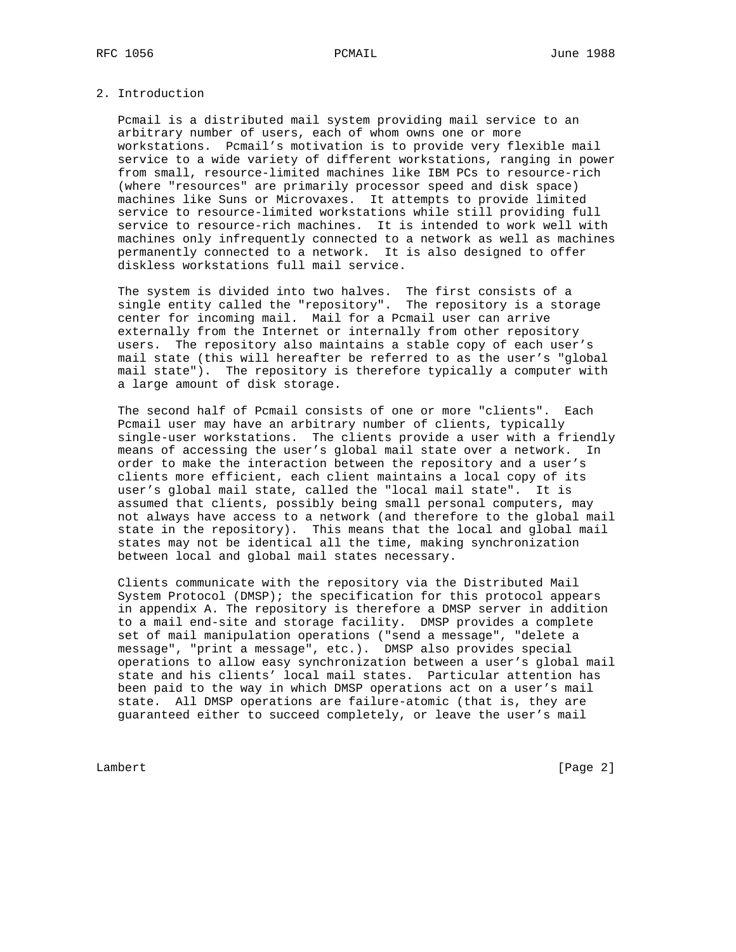# 2. Introduction

 Pcmail is a distributed mail system providing mail service to an arbitrary number of users, each of whom owns one or more workstations. Pcmail's motivation is to provide very flexible mail service to a wide variety of different workstations, ranging in power from small, resource-limited machines like IBM PCs to resource-rich (where "resources" are primarily processor speed and disk space) machines like Suns or Microvaxes. It attempts to provide limited service to resource-limited workstations while still providing full service to resource-rich machines. It is intended to work well with machines only infrequently connected to a network as well as machines permanently connected to a network. It is also designed to offer diskless workstations full mail service.

 The system is divided into two halves. The first consists of a single entity called the "repository". The repository is a storage center for incoming mail. Mail for a Pcmail user can arrive externally from the Internet or internally from other repository users. The repository also maintains a stable copy of each user's mail state (this will hereafter be referred to as the user's "global mail state"). The repository is therefore typically a computer with a large amount of disk storage.

 The second half of Pcmail consists of one or more "clients". Each Pcmail user may have an arbitrary number of clients, typically single-user workstations. The clients provide a user with a friendly means of accessing the user's global mail state over a network. In order to make the interaction between the repository and a user's clients more efficient, each client maintains a local copy of its user's global mail state, called the "local mail state". It is assumed that clients, possibly being small personal computers, may not always have access to a network (and therefore to the global mail state in the repository). This means that the local and global mail states may not be identical all the time, making synchronization between local and global mail states necessary.

 Clients communicate with the repository via the Distributed Mail System Protocol (DMSP); the specification for this protocol appears in appendix A. The repository is therefore a DMSP server in addition to a mail end-site and storage facility. DMSP provides a complete set of mail manipulation operations ("send a message", "delete a message", "print a message", etc.). DMSP also provides special operations to allow easy synchronization between a user's global mail state and his clients' local mail states. Particular attention has been paid to the way in which DMSP operations act on a user's mail state. All DMSP operations are failure-atomic (that is, they are guaranteed either to succeed completely, or leave the user's mail

Lambert [Page 2]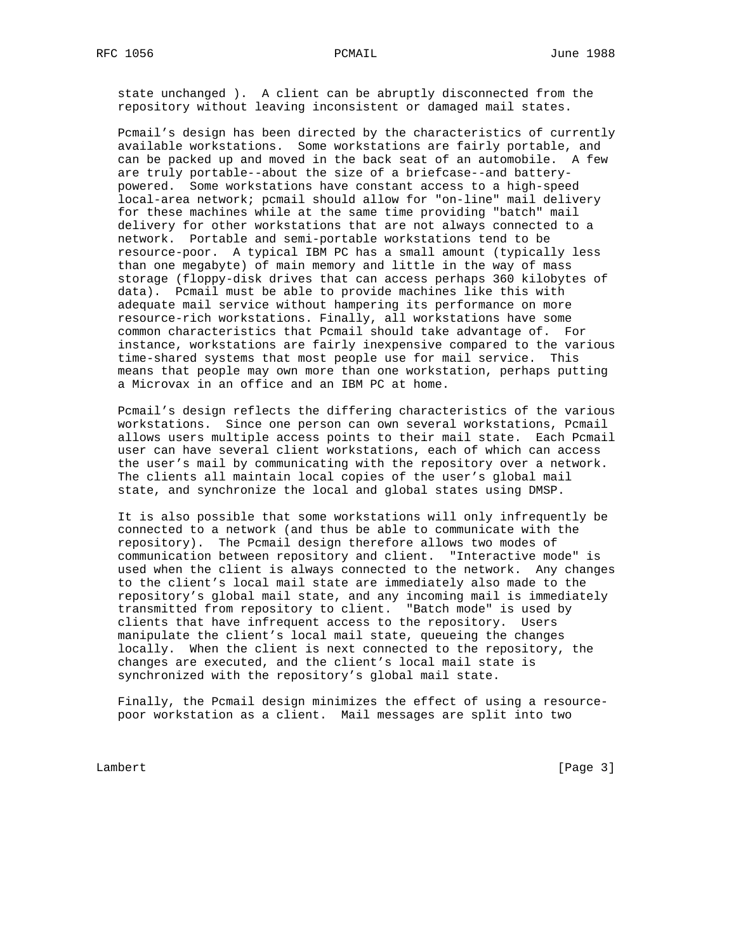state unchanged ). A client can be abruptly disconnected from the repository without leaving inconsistent or damaged mail states.

 Pcmail's design has been directed by the characteristics of currently available workstations. Some workstations are fairly portable, and can be packed up and moved in the back seat of an automobile. A few are truly portable--about the size of a briefcase--and battery powered. Some workstations have constant access to a high-speed local-area network; pcmail should allow for "on-line" mail delivery for these machines while at the same time providing "batch" mail delivery for other workstations that are not always connected to a network. Portable and semi-portable workstations tend to be resource-poor. A typical IBM PC has a small amount (typically less than one megabyte) of main memory and little in the way of mass storage (floppy-disk drives that can access perhaps 360 kilobytes of data). Pcmail must be able to provide machines like this with adequate mail service without hampering its performance on more resource-rich workstations. Finally, all workstations have some common characteristics that Pcmail should take advantage of. For instance, workstations are fairly inexpensive compared to the various time-shared systems that most people use for mail service. This means that people may own more than one workstation, perhaps putting a Microvax in an office and an IBM PC at home.

 Pcmail's design reflects the differing characteristics of the various workstations. Since one person can own several workstations, Pcmail allows users multiple access points to their mail state. Each Pcmail user can have several client workstations, each of which can access the user's mail by communicating with the repository over a network. The clients all maintain local copies of the user's global mail state, and synchronize the local and global states using DMSP.

 It is also possible that some workstations will only infrequently be connected to a network (and thus be able to communicate with the repository). The Pcmail design therefore allows two modes of communication between repository and client. "Interactive mode" is used when the client is always connected to the network. Any changes to the client's local mail state are immediately also made to the repository's global mail state, and any incoming mail is immediately transmitted from repository to client. "Batch mode" is used by clients that have infrequent access to the repository. Users manipulate the client's local mail state, queueing the changes locally. When the client is next connected to the repository, the changes are executed, and the client's local mail state is synchronized with the repository's global mail state.

 Finally, the Pcmail design minimizes the effect of using a resource poor workstation as a client. Mail messages are split into two

Lambert [Page 3]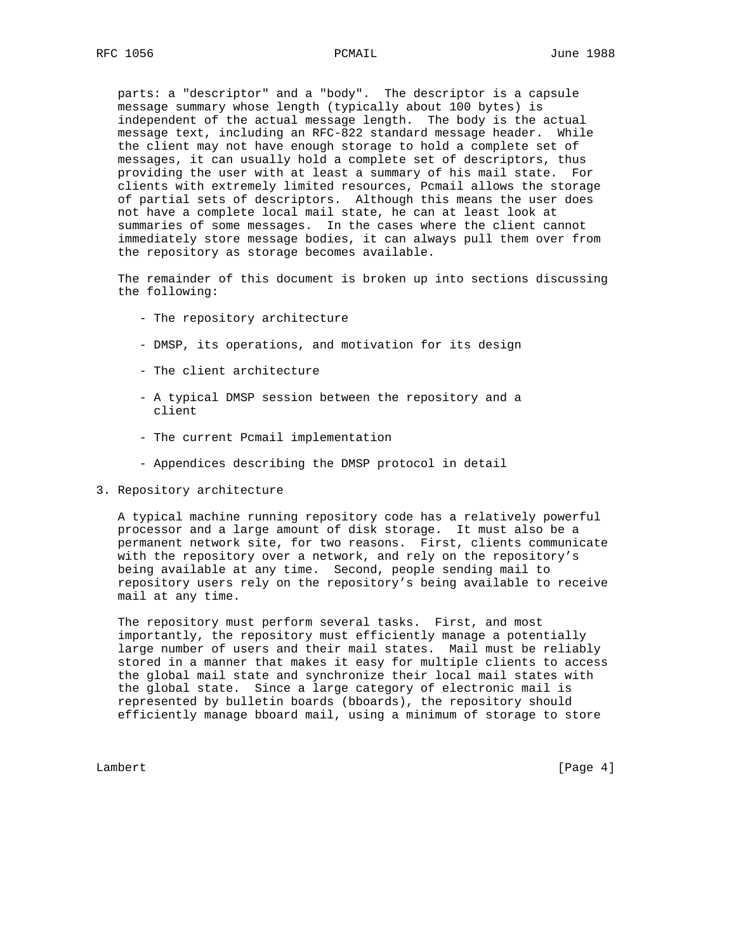parts: a "descriptor" and a "body". The descriptor is a capsule message summary whose length (typically about 100 bytes) is independent of the actual message length. The body is the actual message text, including an RFC-822 standard message header. While the client may not have enough storage to hold a complete set of messages, it can usually hold a complete set of descriptors, thus providing the user with at least a summary of his mail state. For clients with extremely limited resources, Pcmail allows the storage of partial sets of descriptors. Although this means the user does not have a complete local mail state, he can at least look at summaries of some messages. In the cases where the client cannot immediately store message bodies, it can always pull them over from the repository as storage becomes available.

 The remainder of this document is broken up into sections discussing the following:

- The repository architecture
- DMSP, its operations, and motivation for its design
- The client architecture
- A typical DMSP session between the repository and a client
- The current Pcmail implementation
- Appendices describing the DMSP protocol in detail
- 3. Repository architecture

 A typical machine running repository code has a relatively powerful processor and a large amount of disk storage. It must also be a permanent network site, for two reasons. First, clients communicate with the repository over a network, and rely on the repository's being available at any time. Second, people sending mail to repository users rely on the repository's being available to receive mail at any time.

 The repository must perform several tasks. First, and most importantly, the repository must efficiently manage a potentially large number of users and their mail states. Mail must be reliably stored in a manner that makes it easy for multiple clients to access the global mail state and synchronize their local mail states with the global state. Since a large category of electronic mail is represented by bulletin boards (bboards), the repository should efficiently manage bboard mail, using a minimum of storage to store

Lambert [Page 4]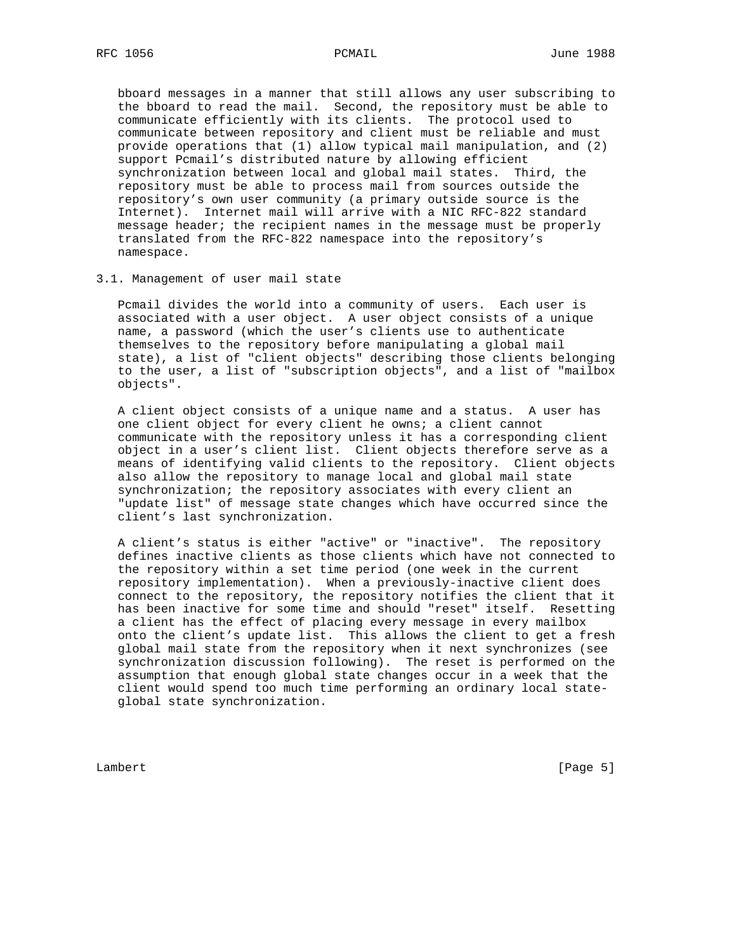bboard messages in a manner that still allows any user subscribing to the bboard to read the mail. Second, the repository must be able to communicate efficiently with its clients. The protocol used to communicate between repository and client must be reliable and must provide operations that (1) allow typical mail manipulation, and (2) support Pcmail's distributed nature by allowing efficient synchronization between local and global mail states. Third, the repository must be able to process mail from sources outside the repository's own user community (a primary outside source is the Internet). Internet mail will arrive with a NIC RFC-822 standard message header; the recipient names in the message must be properly translated from the RFC-822 namespace into the repository's namespace.

### 3.1. Management of user mail state

 Pcmail divides the world into a community of users. Each user is associated with a user object. A user object consists of a unique name, a password (which the user's clients use to authenticate themselves to the repository before manipulating a global mail state), a list of "client objects" describing those clients belonging to the user, a list of "subscription objects", and a list of "mailbox objects".

 A client object consists of a unique name and a status. A user has one client object for every client he owns; a client cannot communicate with the repository unless it has a corresponding client object in a user's client list. Client objects therefore serve as a means of identifying valid clients to the repository. Client objects also allow the repository to manage local and global mail state synchronization; the repository associates with every client an "update list" of message state changes which have occurred since the client's last synchronization.

 A client's status is either "active" or "inactive". The repository defines inactive clients as those clients which have not connected to the repository within a set time period (one week in the current repository implementation). When a previously-inactive client does connect to the repository, the repository notifies the client that it has been inactive for some time and should "reset" itself. Resetting a client has the effect of placing every message in every mailbox onto the client's update list. This allows the client to get a fresh global mail state from the repository when it next synchronizes (see synchronization discussion following). The reset is performed on the assumption that enough global state changes occur in a week that the client would spend too much time performing an ordinary local state global state synchronization.

Lambert [Page 5]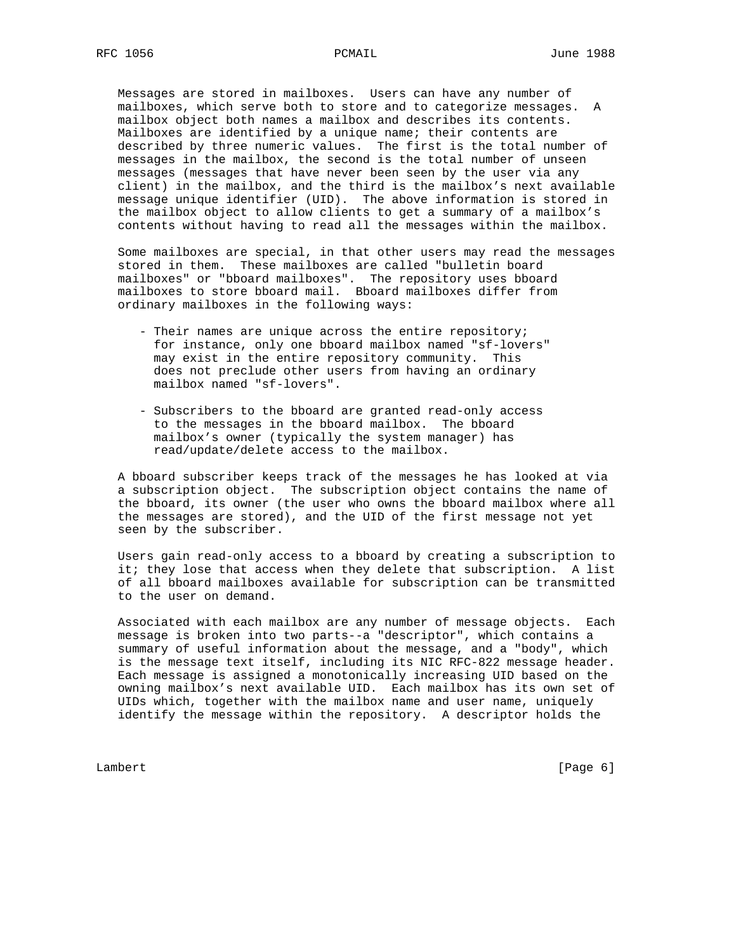Messages are stored in mailboxes. Users can have any number of mailboxes, which serve both to store and to categorize messages. A mailbox object both names a mailbox and describes its contents. Mailboxes are identified by a unique name; their contents are described by three numeric values. The first is the total number of messages in the mailbox, the second is the total number of unseen messages (messages that have never been seen by the user via any client) in the mailbox, and the third is the mailbox's next available message unique identifier (UID). The above information is stored in the mailbox object to allow clients to get a summary of a mailbox's contents without having to read all the messages within the mailbox.

 Some mailboxes are special, in that other users may read the messages stored in them. These mailboxes are called "bulletin board mailboxes" or "bboard mailboxes". The repository uses bboard mailboxes to store bboard mail. Bboard mailboxes differ from ordinary mailboxes in the following ways:

- Their names are unique across the entire repository; for instance, only one bboard mailbox named "sf-lovers" may exist in the entire repository community. This does not preclude other users from having an ordinary mailbox named "sf-lovers".
- Subscribers to the bboard are granted read-only access to the messages in the bboard mailbox. The bboard mailbox's owner (typically the system manager) has read/update/delete access to the mailbox.

 A bboard subscriber keeps track of the messages he has looked at via a subscription object. The subscription object contains the name of the bboard, its owner (the user who owns the bboard mailbox where all the messages are stored), and the UID of the first message not yet seen by the subscriber.

 Users gain read-only access to a bboard by creating a subscription to it; they lose that access when they delete that subscription. A list of all bboard mailboxes available for subscription can be transmitted to the user on demand.

 Associated with each mailbox are any number of message objects. Each message is broken into two parts--a "descriptor", which contains a summary of useful information about the message, and a "body", which is the message text itself, including its NIC RFC-822 message header. Each message is assigned a monotonically increasing UID based on the owning mailbox's next available UID. Each mailbox has its own set of UIDs which, together with the mailbox name and user name, uniquely identify the message within the repository. A descriptor holds the

Lambert [Page 6]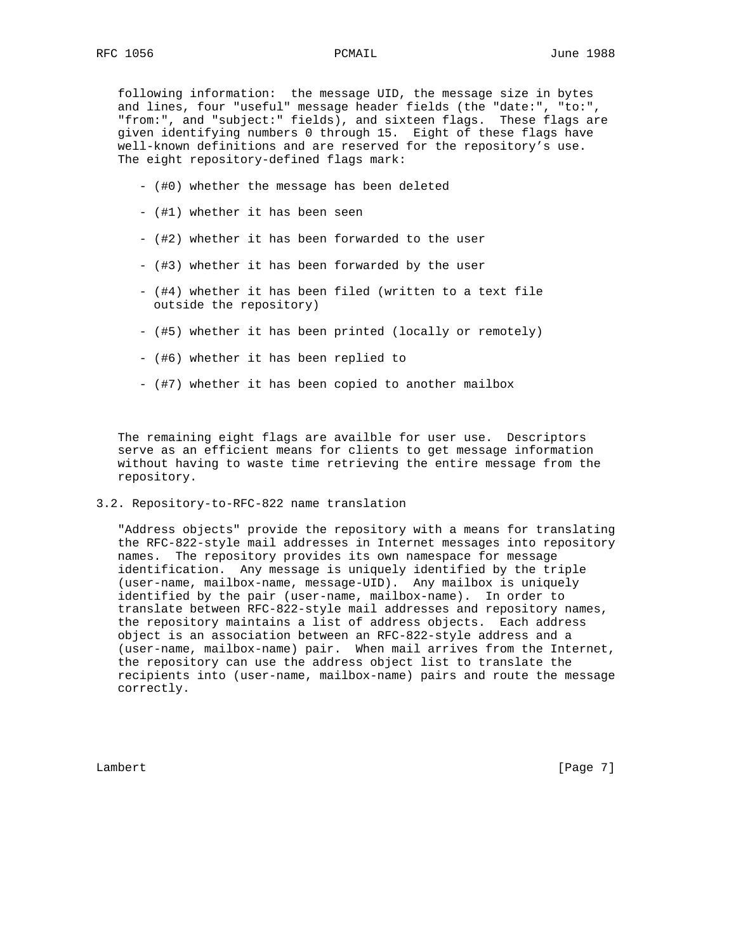following information: the message UID, the message size in bytes and lines, four "useful" message header fields (the "date:", "to:", "from:", and "subject:" fields), and sixteen flags. These flags are given identifying numbers 0 through 15. Eight of these flags have well-known definitions and are reserved for the repository's use. The eight repository-defined flags mark:

- (#0) whether the message has been deleted
- (#1) whether it has been seen
- (#2) whether it has been forwarded to the user
- (#3) whether it has been forwarded by the user
- (#4) whether it has been filed (written to a text file outside the repository)
- (#5) whether it has been printed (locally or remotely)
- (#6) whether it has been replied to
- (#7) whether it has been copied to another mailbox

 The remaining eight flags are availble for user use. Descriptors serve as an efficient means for clients to get message information without having to waste time retrieving the entire message from the repository.

3.2. Repository-to-RFC-822 name translation

 "Address objects" provide the repository with a means for translating the RFC-822-style mail addresses in Internet messages into repository names. The repository provides its own namespace for message identification. Any message is uniquely identified by the triple (user-name, mailbox-name, message-UID). Any mailbox is uniquely identified by the pair (user-name, mailbox-name). In order to translate between RFC-822-style mail addresses and repository names, the repository maintains a list of address objects. Each address object is an association between an RFC-822-style address and a (user-name, mailbox-name) pair. When mail arrives from the Internet, the repository can use the address object list to translate the recipients into (user-name, mailbox-name) pairs and route the message correctly.

Lambert [Page 7]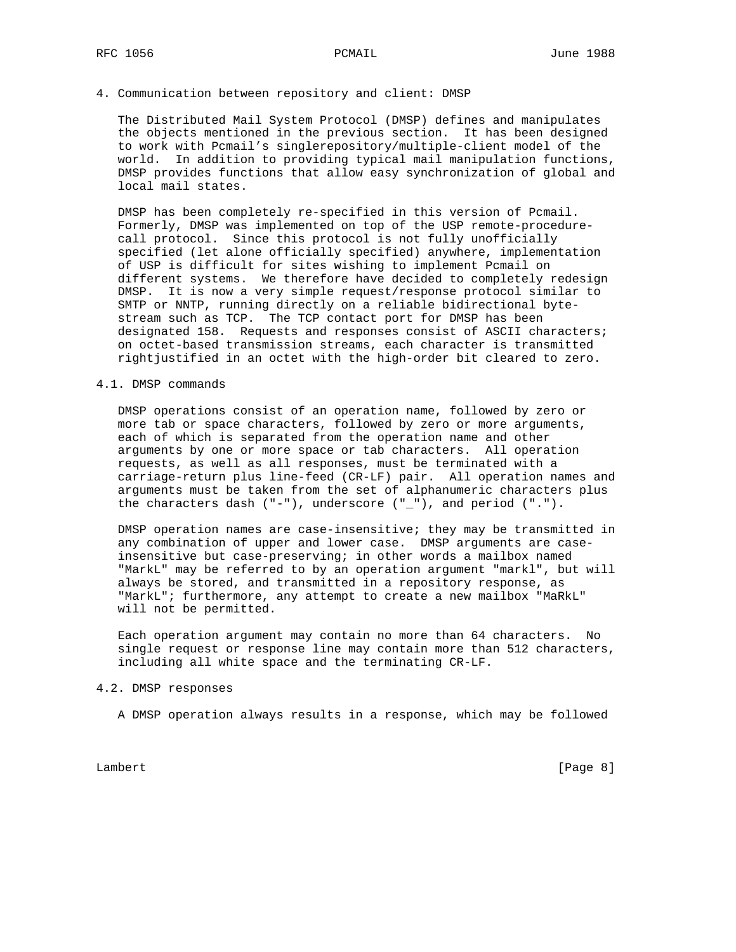## 4. Communication between repository and client: DMSP

 The Distributed Mail System Protocol (DMSP) defines and manipulates the objects mentioned in the previous section. It has been designed to work with Pcmail's singlerepository/multiple-client model of the world. In addition to providing typical mail manipulation functions, DMSP provides functions that allow easy synchronization of global and local mail states.

 DMSP has been completely re-specified in this version of Pcmail. Formerly, DMSP was implemented on top of the USP remote-procedure call protocol. Since this protocol is not fully unofficially specified (let alone officially specified) anywhere, implementation of USP is difficult for sites wishing to implement Pcmail on different systems. We therefore have decided to completely redesign DMSP. It is now a very simple request/response protocol similar to SMTP or NNTP, running directly on a reliable bidirectional byte stream such as TCP. The TCP contact port for DMSP has been designated 158. Requests and responses consist of ASCII characters; on octet-based transmission streams, each character is transmitted rightjustified in an octet with the high-order bit cleared to zero.

### 4.1. DMSP commands

 DMSP operations consist of an operation name, followed by zero or more tab or space characters, followed by zero or more arguments, each of which is separated from the operation name and other arguments by one or more space or tab characters. All operation requests, as well as all responses, must be terminated with a carriage-return plus line-feed (CR-LF) pair. All operation names and arguments must be taken from the set of alphanumeric characters plus the characters dash  $("-")$ , underscore  $("_")$ , and period  $("..")$ .

 DMSP operation names are case-insensitive; they may be transmitted in any combination of upper and lower case. DMSP arguments are case insensitive but case-preserving; in other words a mailbox named "MarkL" may be referred to by an operation argument "markl", but will always be stored, and transmitted in a repository response, as "MarkL"; furthermore, any attempt to create a new mailbox "MaRkL" will not be permitted.

 Each operation argument may contain no more than 64 characters. No single request or response line may contain more than 512 characters, including all white space and the terminating CR-LF.

## 4.2. DMSP responses

A DMSP operation always results in a response, which may be followed

Lambert [Page 8]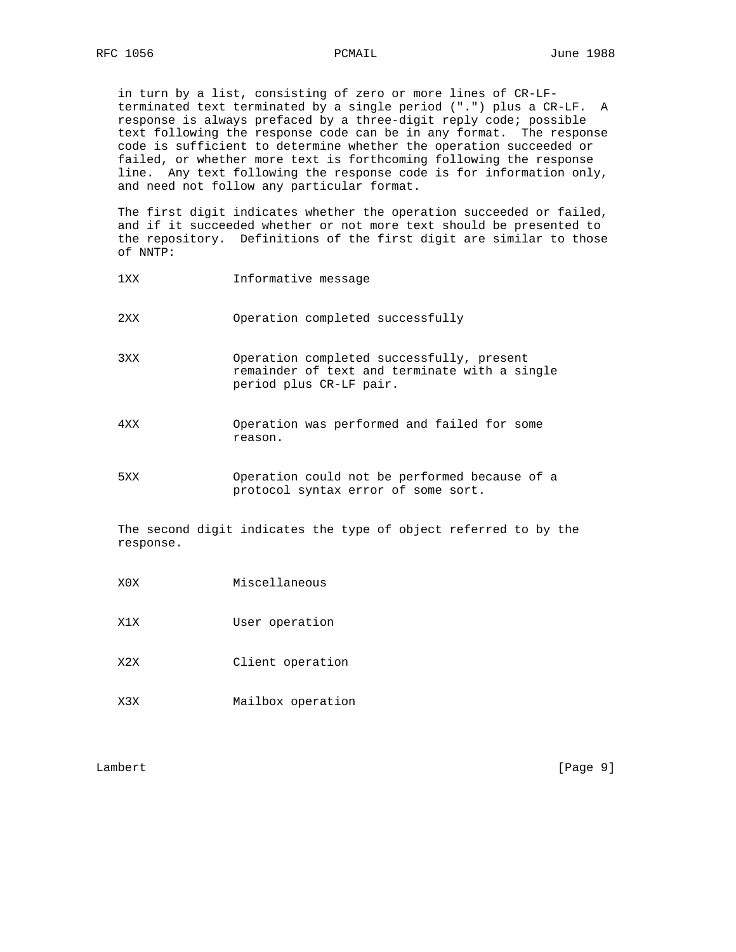in turn by a list, consisting of zero or more lines of CR-LF terminated text terminated by a single period (".") plus a CR-LF. A response is always prefaced by a three-digit reply code; possible text following the response code can be in any format. The response code is sufficient to determine whether the operation succeeded or failed, or whether more text is forthcoming following the response line. Any text following the response code is for information only, and need not follow any particular format.

 The first digit indicates whether the operation succeeded or failed, and if it succeeded whether or not more text should be presented to the repository. Definitions of the first digit are similar to those of NNTP:

- 1XX Informative message
- 2XX Operation completed successfully
- 3XX Operation completed successfully, present remainder of text and terminate with a single period plus CR-LF pair.
- 4XX Operation was performed and failed for some reason.
- 5XX Operation could not be performed because of a protocol syntax error of some sort.

 The second digit indicates the type of object referred to by the response.

- X0X Miscellaneous
- X1X User operation
- X2X Client operation
- X3X Mailbox operation

Lambert [Page 9]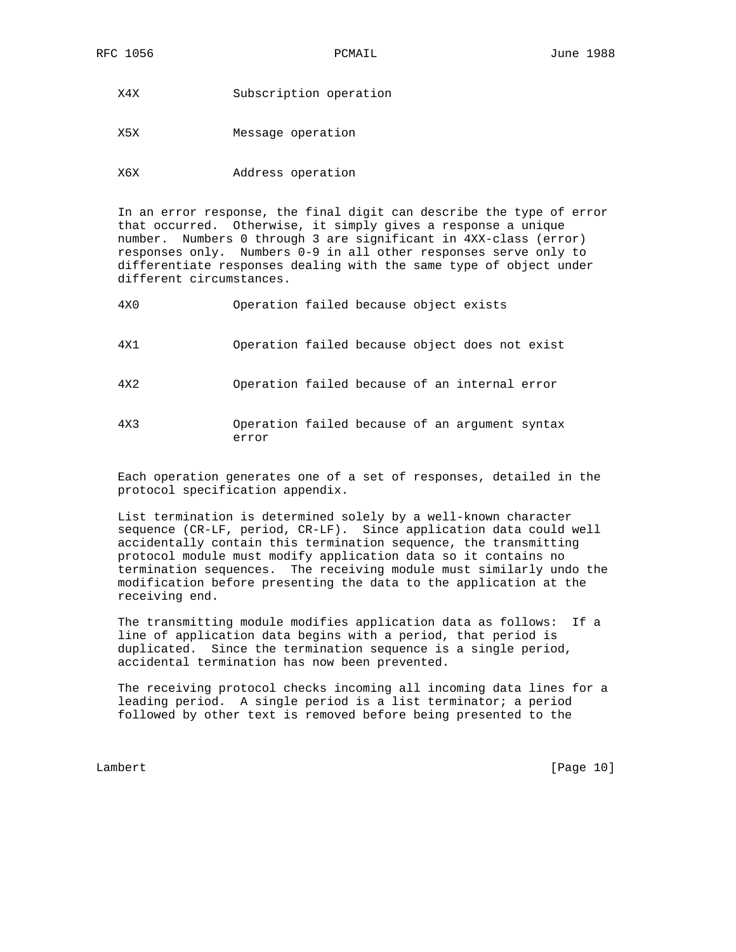X4X Subscription operation

X5X Message operation

X6X Address operation

error

 In an error response, the final digit can describe the type of error that occurred. Otherwise, it simply gives a response a unique number. Numbers 0 through 3 are significant in 4XX-class (error) responses only. Numbers 0-9 in all other responses serve only to differentiate responses dealing with the same type of object under different circumstances.

| 4X0 | Operation failed because object exists         |  |  |  |
|-----|------------------------------------------------|--|--|--|
| 4X1 | Operation failed because object does not exist |  |  |  |
| 4X2 | Operation failed because of an internal error  |  |  |  |
| 4X3 | Operation failed because of an argument syntax |  |  |  |

 Each operation generates one of a set of responses, detailed in the protocol specification appendix.

 List termination is determined solely by a well-known character sequence (CR-LF, period, CR-LF). Since application data could well accidentally contain this termination sequence, the transmitting protocol module must modify application data so it contains no termination sequences. The receiving module must similarly undo the modification before presenting the data to the application at the receiving end.

 The transmitting module modifies application data as follows: If a line of application data begins with a period, that period is duplicated. Since the termination sequence is a single period, accidental termination has now been prevented.

 The receiving protocol checks incoming all incoming data lines for a leading period. A single period is a list terminator; a period followed by other text is removed before being presented to the

Lambert [Page 10]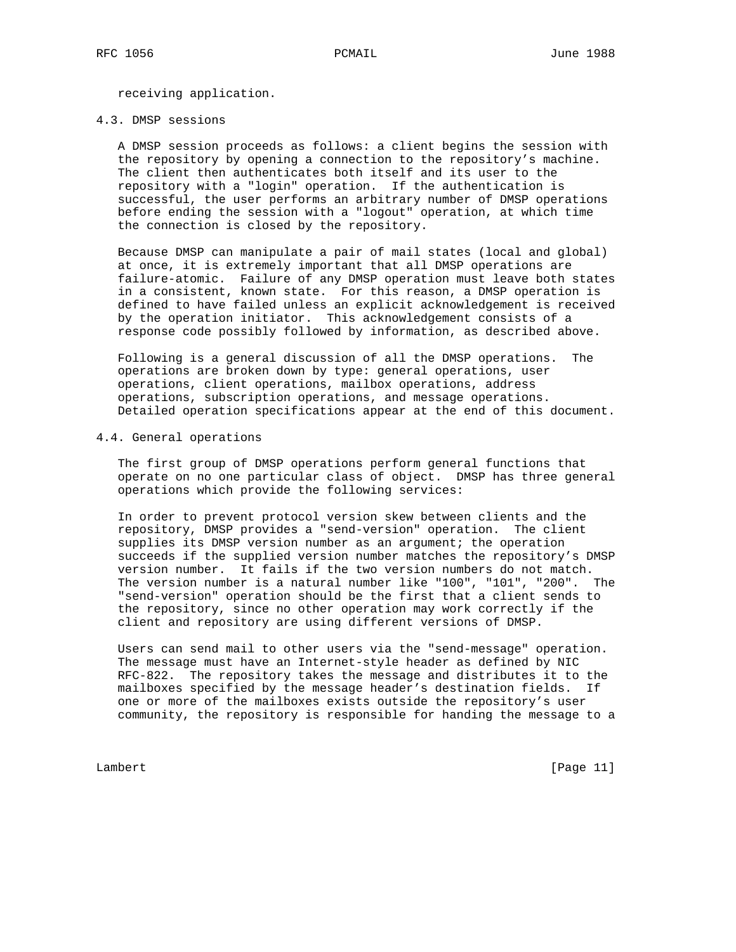receiving application.

### 4.3. DMSP sessions

 A DMSP session proceeds as follows: a client begins the session with the repository by opening a connection to the repository's machine. The client then authenticates both itself and its user to the repository with a "login" operation. If the authentication is successful, the user performs an arbitrary number of DMSP operations before ending the session with a "logout" operation, at which time the connection is closed by the repository.

 Because DMSP can manipulate a pair of mail states (local and global) at once, it is extremely important that all DMSP operations are failure-atomic. Failure of any DMSP operation must leave both states in a consistent, known state. For this reason, a DMSP operation is defined to have failed unless an explicit acknowledgement is received by the operation initiator. This acknowledgement consists of a response code possibly followed by information, as described above.

 Following is a general discussion of all the DMSP operations. The operations are broken down by type: general operations, user operations, client operations, mailbox operations, address operations, subscription operations, and message operations. Detailed operation specifications appear at the end of this document.

### 4.4. General operations

 The first group of DMSP operations perform general functions that operate on no one particular class of object. DMSP has three general operations which provide the following services:

 In order to prevent protocol version skew between clients and the repository, DMSP provides a "send-version" operation. The client supplies its DMSP version number as an argument; the operation succeeds if the supplied version number matches the repository's DMSP version number. It fails if the two version numbers do not match. The version number is a natural number like "100", "101", "200". The "send-version" operation should be the first that a client sends to the repository, since no other operation may work correctly if the client and repository are using different versions of DMSP.

 Users can send mail to other users via the "send-message" operation. The message must have an Internet-style header as defined by NIC RFC-822. The repository takes the message and distributes it to the mailboxes specified by the message header's destination fields. If one or more of the mailboxes exists outside the repository's user community, the repository is responsible for handing the message to a

Lambert [Page 11]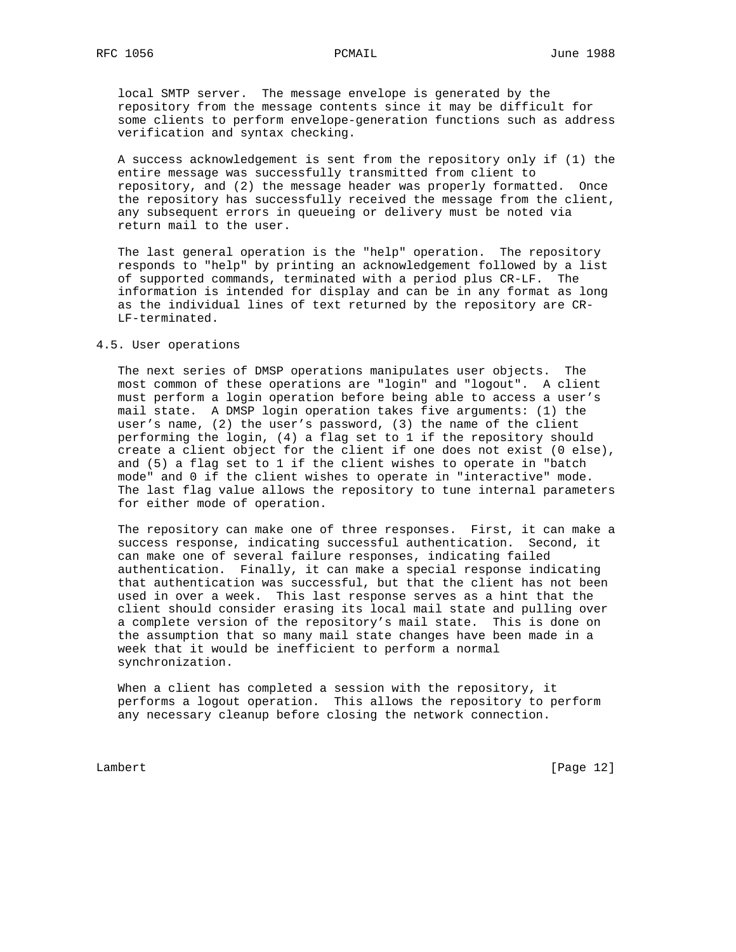local SMTP server. The message envelope is generated by the repository from the message contents since it may be difficult for some clients to perform envelope-generation functions such as address verification and syntax checking.

 A success acknowledgement is sent from the repository only if (1) the entire message was successfully transmitted from client to repository, and (2) the message header was properly formatted. Once the repository has successfully received the message from the client, any subsequent errors in queueing or delivery must be noted via return mail to the user.

 The last general operation is the "help" operation. The repository responds to "help" by printing an acknowledgement followed by a list of supported commands, terminated with a period plus CR-LF. The information is intended for display and can be in any format as long as the individual lines of text returned by the repository are CR- LF-terminated.

### 4.5. User operations

 The next series of DMSP operations manipulates user objects. The most common of these operations are "login" and "logout". A client must perform a login operation before being able to access a user's mail state. A DMSP login operation takes five arguments: (1) the user's name, (2) the user's password, (3) the name of the client performing the login, (4) a flag set to 1 if the repository should create a client object for the client if one does not exist (0 else), and (5) a flag set to 1 if the client wishes to operate in "batch mode" and 0 if the client wishes to operate in "interactive" mode. The last flag value allows the repository to tune internal parameters for either mode of operation.

 The repository can make one of three responses. First, it can make a success response, indicating successful authentication. Second, it can make one of several failure responses, indicating failed authentication. Finally, it can make a special response indicating that authentication was successful, but that the client has not been used in over a week. This last response serves as a hint that the client should consider erasing its local mail state and pulling over a complete version of the repository's mail state. This is done on the assumption that so many mail state changes have been made in a week that it would be inefficient to perform a normal synchronization.

 When a client has completed a session with the repository, it performs a logout operation. This allows the repository to perform any necessary cleanup before closing the network connection.

Lambert [Page 12]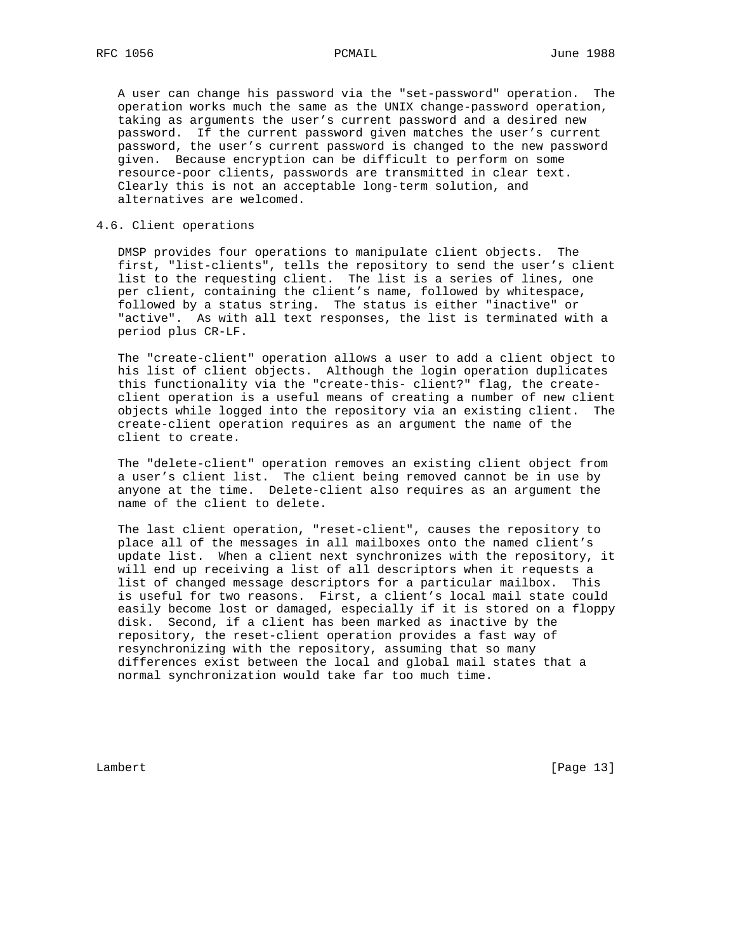A user can change his password via the "set-password" operation. The operation works much the same as the UNIX change-password operation, taking as arguments the user's current password and a desired new password. If the current password given matches the user's current password, the user's current password is changed to the new password given. Because encryption can be difficult to perform on some resource-poor clients, passwords are transmitted in clear text. Clearly this is not an acceptable long-term solution, and alternatives are welcomed.

# 4.6. Client operations

 DMSP provides four operations to manipulate client objects. The first, "list-clients", tells the repository to send the user's client list to the requesting client. The list is a series of lines, one per client, containing the client's name, followed by whitespace, followed by a status string. The status is either "inactive" or "active". As with all text responses, the list is terminated with a period plus CR-LF.

 The "create-client" operation allows a user to add a client object to his list of client objects. Although the login operation duplicates this functionality via the "create-this- client?" flag, the create client operation is a useful means of creating a number of new client objects while logged into the repository via an existing client. The create-client operation requires as an argument the name of the client to create.

 The "delete-client" operation removes an existing client object from a user's client list. The client being removed cannot be in use by anyone at the time. Delete-client also requires as an argument the name of the client to delete.

 The last client operation, "reset-client", causes the repository to place all of the messages in all mailboxes onto the named client's update list. When a client next synchronizes with the repository, it will end up receiving a list of all descriptors when it requests a list of changed message descriptors for a particular mailbox. This is useful for two reasons. First, a client's local mail state could easily become lost or damaged, especially if it is stored on a floppy disk. Second, if a client has been marked as inactive by the repository, the reset-client operation provides a fast way of resynchronizing with the repository, assuming that so many differences exist between the local and global mail states that a normal synchronization would take far too much time.

Lambert [Page 13]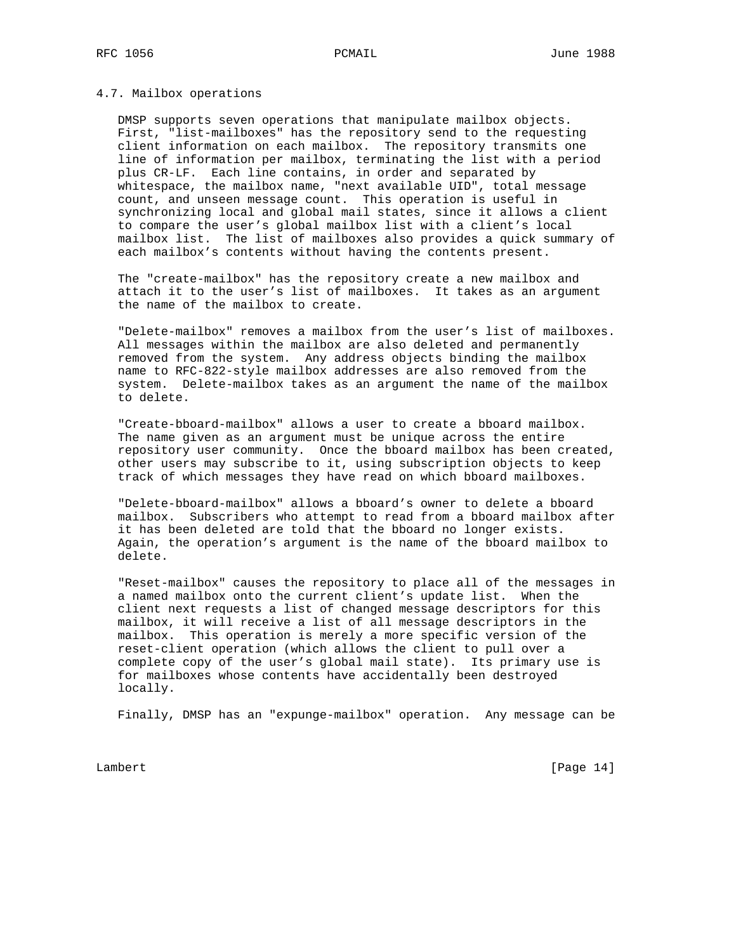# 4.7. Mailbox operations

 DMSP supports seven operations that manipulate mailbox objects. First, "list-mailboxes" has the repository send to the requesting client information on each mailbox. The repository transmits one line of information per mailbox, terminating the list with a period plus CR-LF. Each line contains, in order and separated by whitespace, the mailbox name, "next available UID", total message count, and unseen message count. This operation is useful in synchronizing local and global mail states, since it allows a client to compare the user's global mailbox list with a client's local mailbox list. The list of mailboxes also provides a quick summary of each mailbox's contents without having the contents present.

 The "create-mailbox" has the repository create a new mailbox and attach it to the user's list of mailboxes. It takes as an argument the name of the mailbox to create.

 "Delete-mailbox" removes a mailbox from the user's list of mailboxes. All messages within the mailbox are also deleted and permanently removed from the system. Any address objects binding the mailbox name to RFC-822-style mailbox addresses are also removed from the system. Delete-mailbox takes as an argument the name of the mailbox to delete.

 "Create-bboard-mailbox" allows a user to create a bboard mailbox. The name given as an argument must be unique across the entire repository user community. Once the bboard mailbox has been created, other users may subscribe to it, using subscription objects to keep track of which messages they have read on which bboard mailboxes.

 "Delete-bboard-mailbox" allows a bboard's owner to delete a bboard mailbox. Subscribers who attempt to read from a bboard mailbox after it has been deleted are told that the bboard no longer exists. Again, the operation's argument is the name of the bboard mailbox to delete.

 "Reset-mailbox" causes the repository to place all of the messages in a named mailbox onto the current client's update list. When the client next requests a list of changed message descriptors for this mailbox, it will receive a list of all message descriptors in the mailbox. This operation is merely a more specific version of the reset-client operation (which allows the client to pull over a complete copy of the user's global mail state). Its primary use is for mailboxes whose contents have accidentally been destroyed locally.

Finally, DMSP has an "expunge-mailbox" operation. Any message can be

Lambert [Page 14]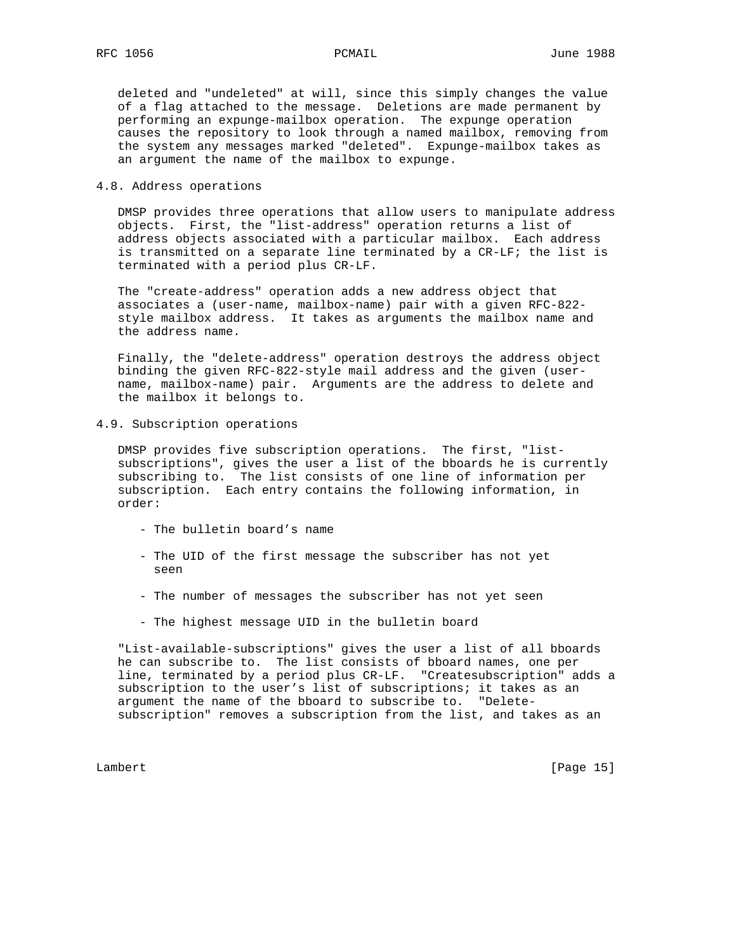deleted and "undeleted" at will, since this simply changes the value of a flag attached to the message. Deletions are made permanent by performing an expunge-mailbox operation. The expunge operation causes the repository to look through a named mailbox, removing from the system any messages marked "deleted". Expunge-mailbox takes as an argument the name of the mailbox to expunge.

### 4.8. Address operations

 DMSP provides three operations that allow users to manipulate address objects. First, the "list-address" operation returns a list of address objects associated with a particular mailbox. Each address is transmitted on a separate line terminated by a CR-LF; the list is terminated with a period plus CR-LF.

 The "create-address" operation adds a new address object that associates a (user-name, mailbox-name) pair with a given RFC-822 style mailbox address. It takes as arguments the mailbox name and the address name.

 Finally, the "delete-address" operation destroys the address object binding the given RFC-822-style mail address and the given (user name, mailbox-name) pair. Arguments are the address to delete and the mailbox it belongs to.

### 4.9. Subscription operations

 DMSP provides five subscription operations. The first, "list subscriptions", gives the user a list of the bboards he is currently subscribing to. The list consists of one line of information per subscription. Each entry contains the following information, in order:

- The bulletin board's name
- The UID of the first message the subscriber has not yet seen
- The number of messages the subscriber has not yet seen
- The highest message UID in the bulletin board

 "List-available-subscriptions" gives the user a list of all bboards he can subscribe to. The list consists of bboard names, one per line, terminated by a period plus CR-LF. "Createsubscription" adds a subscription to the user's list of subscriptions; it takes as an argument the name of the bboard to subscribe to. "Delete subscription" removes a subscription from the list, and takes as an

Lambert [Page 15]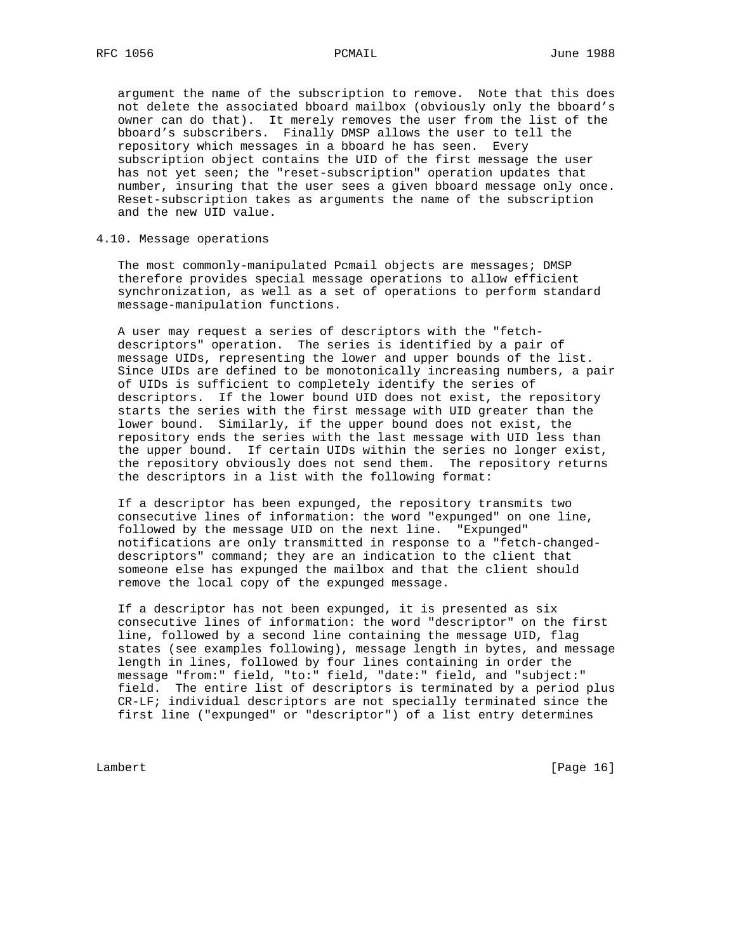argument the name of the subscription to remove. Note that this does not delete the associated bboard mailbox (obviously only the bboard's owner can do that). It merely removes the user from the list of the bboard's subscribers. Finally DMSP allows the user to tell the repository which messages in a bboard he has seen. Every subscription object contains the UID of the first message the user has not yet seen; the "reset-subscription" operation updates that number, insuring that the user sees a given bboard message only once. Reset-subscription takes as arguments the name of the subscription and the new UID value.

# 4.10. Message operations

 The most commonly-manipulated Pcmail objects are messages; DMSP therefore provides special message operations to allow efficient synchronization, as well as a set of operations to perform standard message-manipulation functions.

 A user may request a series of descriptors with the "fetch descriptors" operation. The series is identified by a pair of message UIDs, representing the lower and upper bounds of the list. Since UIDs are defined to be monotonically increasing numbers, a pair of UIDs is sufficient to completely identify the series of descriptors. If the lower bound UID does not exist, the repository starts the series with the first message with UID greater than the lower bound. Similarly, if the upper bound does not exist, the repository ends the series with the last message with UID less than the upper bound. If certain UIDs within the series no longer exist, the repository obviously does not send them. The repository returns the descriptors in a list with the following format:

 If a descriptor has been expunged, the repository transmits two consecutive lines of information: the word "expunged" on one line, followed by the message UID on the next line. "Expunged" notifications are only transmitted in response to a "fetch-changed descriptors" command; they are an indication to the client that someone else has expunged the mailbox and that the client should remove the local copy of the expunged message.

 If a descriptor has not been expunged, it is presented as six consecutive lines of information: the word "descriptor" on the first line, followed by a second line containing the message UID, flag states (see examples following), message length in bytes, and message length in lines, followed by four lines containing in order the message "from:" field, "to:" field, "date:" field, and "subject:" field. The entire list of descriptors is terminated by a period plus CR-LF; individual descriptors are not specially terminated since the first line ("expunged" or "descriptor") of a list entry determines

Lambert [Page 16]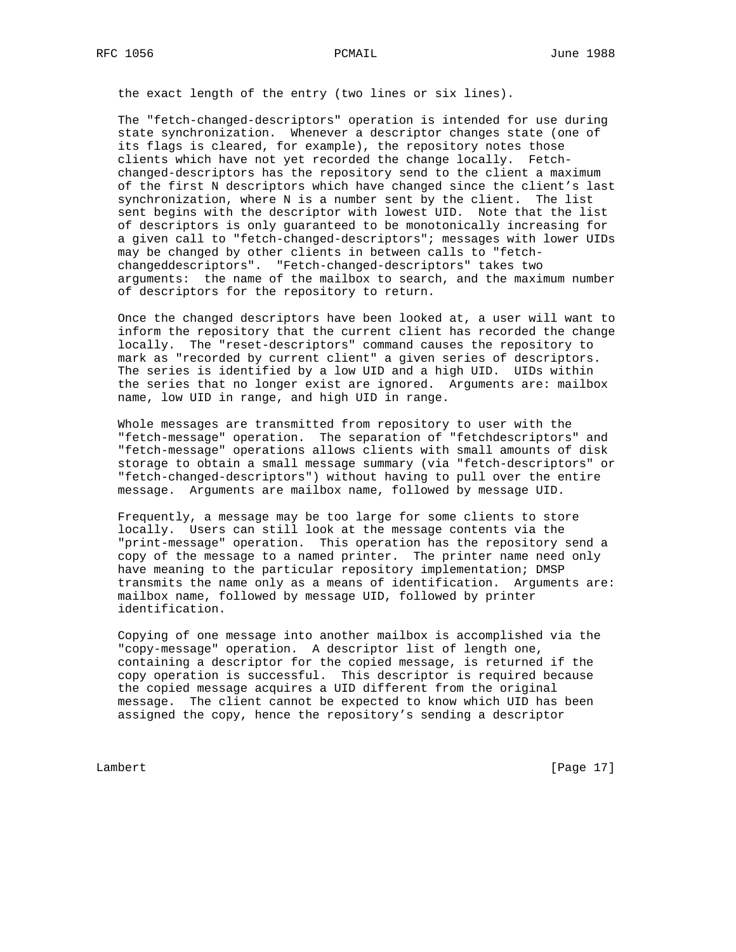the exact length of the entry (two lines or six lines).

 The "fetch-changed-descriptors" operation is intended for use during state synchronization. Whenever a descriptor changes state (one of its flags is cleared, for example), the repository notes those clients which have not yet recorded the change locally. Fetch changed-descriptors has the repository send to the client a maximum of the first N descriptors which have changed since the client's last synchronization, where N is a number sent by the client. The list sent begins with the descriptor with lowest UID. Note that the list of descriptors is only guaranteed to be monotonically increasing for a given call to "fetch-changed-descriptors"; messages with lower UIDs may be changed by other clients in between calls to "fetch changeddescriptors". "Fetch-changed-descriptors" takes two arguments: the name of the mailbox to search, and the maximum number of descriptors for the repository to return.

 Once the changed descriptors have been looked at, a user will want to inform the repository that the current client has recorded the change locally. The "reset-descriptors" command causes the repository to mark as "recorded by current client" a given series of descriptors. The series is identified by a low UID and a high UID. UIDs within the series that no longer exist are ignored. Arguments are: mailbox name, low UID in range, and high UID in range.

 Whole messages are transmitted from repository to user with the "fetch-message" operation. The separation of "fetchdescriptors" and "fetch-message" operations allows clients with small amounts of disk storage to obtain a small message summary (via "fetch-descriptors" or "fetch-changed-descriptors") without having to pull over the entire message. Arguments are mailbox name, followed by message UID.

 Frequently, a message may be too large for some clients to store locally. Users can still look at the message contents via the "print-message" operation. This operation has the repository send a copy of the message to a named printer. The printer name need only have meaning to the particular repository implementation; DMSP transmits the name only as a means of identification. Arguments are: mailbox name, followed by message UID, followed by printer identification.

 Copying of one message into another mailbox is accomplished via the "copy-message" operation. A descriptor list of length one, containing a descriptor for the copied message, is returned if the copy operation is successful. This descriptor is required because the copied message acquires a UID different from the original message. The client cannot be expected to know which UID has been assigned the copy, hence the repository's sending a descriptor

Lambert [Page 17]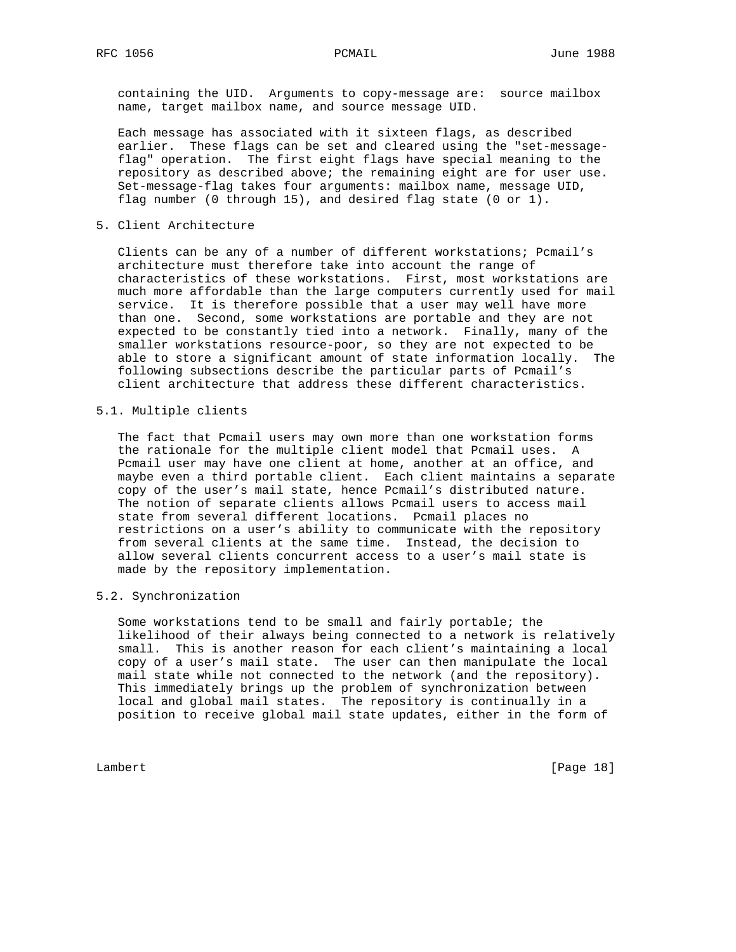containing the UID. Arguments to copy-message are: source mailbox name, target mailbox name, and source message UID.

 Each message has associated with it sixteen flags, as described earlier. These flags can be set and cleared using the "set-message flag" operation. The first eight flags have special meaning to the repository as described above; the remaining eight are for user use. Set-message-flag takes four arguments: mailbox name, message UID, flag number (0 through 15), and desired flag state (0 or 1).

5. Client Architecture

 Clients can be any of a number of different workstations; Pcmail's architecture must therefore take into account the range of characteristics of these workstations. First, most workstations are much more affordable than the large computers currently used for mail service. It is therefore possible that a user may well have more than one. Second, some workstations are portable and they are not expected to be constantly tied into a network. Finally, many of the smaller workstations resource-poor, so they are not expected to be able to store a significant amount of state information locally. The following subsections describe the particular parts of Pcmail's client architecture that address these different characteristics.

5.1. Multiple clients

 The fact that Pcmail users may own more than one workstation forms the rationale for the multiple client model that Pcmail uses. A Pcmail user may have one client at home, another at an office, and maybe even a third portable client. Each client maintains a separate copy of the user's mail state, hence Pcmail's distributed nature. The notion of separate clients allows Pcmail users to access mail state from several different locations. Pcmail places no restrictions on a user's ability to communicate with the repository from several clients at the same time. Instead, the decision to allow several clients concurrent access to a user's mail state is made by the repository implementation.

# 5.2. Synchronization

 Some workstations tend to be small and fairly portable; the likelihood of their always being connected to a network is relatively small. This is another reason for each client's maintaining a local copy of a user's mail state. The user can then manipulate the local mail state while not connected to the network (and the repository). This immediately brings up the problem of synchronization between local and global mail states. The repository is continually in a position to receive global mail state updates, either in the form of

Lambert [Page 18]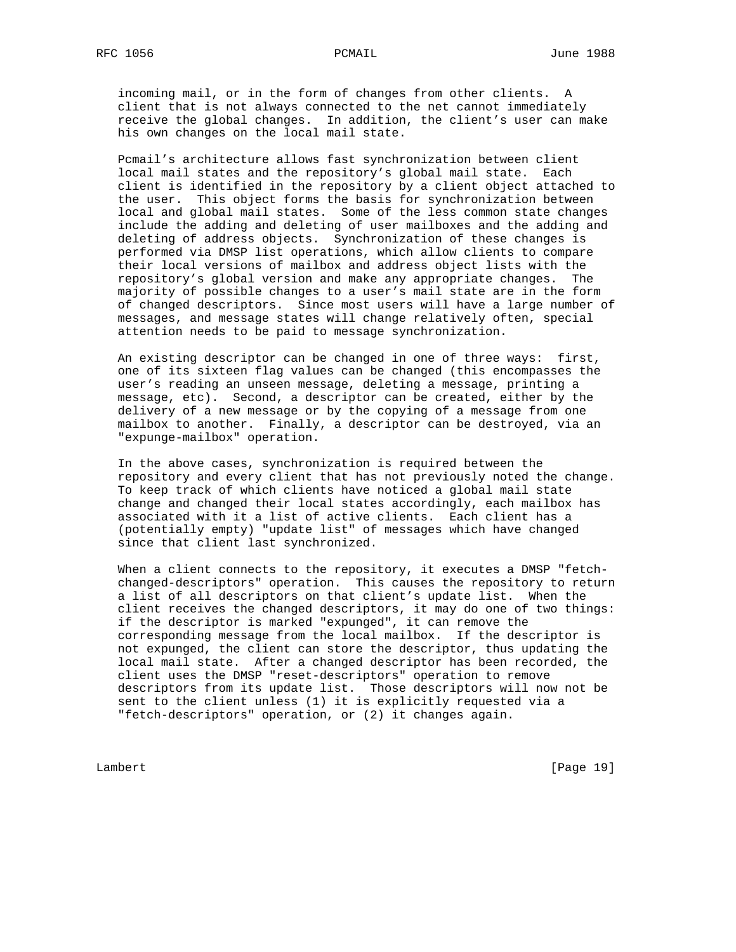incoming mail, or in the form of changes from other clients. A client that is not always connected to the net cannot immediately receive the global changes. In addition, the client's user can make his own changes on the local mail state.

 Pcmail's architecture allows fast synchronization between client local mail states and the repository's global mail state. Each client is identified in the repository by a client object attached to the user. This object forms the basis for synchronization between local and global mail states. Some of the less common state changes include the adding and deleting of user mailboxes and the adding and deleting of address objects. Synchronization of these changes is performed via DMSP list operations, which allow clients to compare their local versions of mailbox and address object lists with the repository's global version and make any appropriate changes. The majority of possible changes to a user's mail state are in the form of changed descriptors. Since most users will have a large number of messages, and message states will change relatively often, special attention needs to be paid to message synchronization.

 An existing descriptor can be changed in one of three ways: first, one of its sixteen flag values can be changed (this encompasses the user's reading an unseen message, deleting a message, printing a message, etc). Second, a descriptor can be created, either by the delivery of a new message or by the copying of a message from one mailbox to another. Finally, a descriptor can be destroyed, via an "expunge-mailbox" operation.

 In the above cases, synchronization is required between the repository and every client that has not previously noted the change. To keep track of which clients have noticed a global mail state change and changed their local states accordingly, each mailbox has associated with it a list of active clients. Each client has a (potentially empty) "update list" of messages which have changed since that client last synchronized.

 When a client connects to the repository, it executes a DMSP "fetch changed-descriptors" operation. This causes the repository to return a list of all descriptors on that client's update list. When the client receives the changed descriptors, it may do one of two things: if the descriptor is marked "expunged", it can remove the corresponding message from the local mailbox. If the descriptor is not expunged, the client can store the descriptor, thus updating the local mail state. After a changed descriptor has been recorded, the client uses the DMSP "reset-descriptors" operation to remove descriptors from its update list. Those descriptors will now not be sent to the client unless (1) it is explicitly requested via a "fetch-descriptors" operation, or (2) it changes again.

Lambert [Page 19]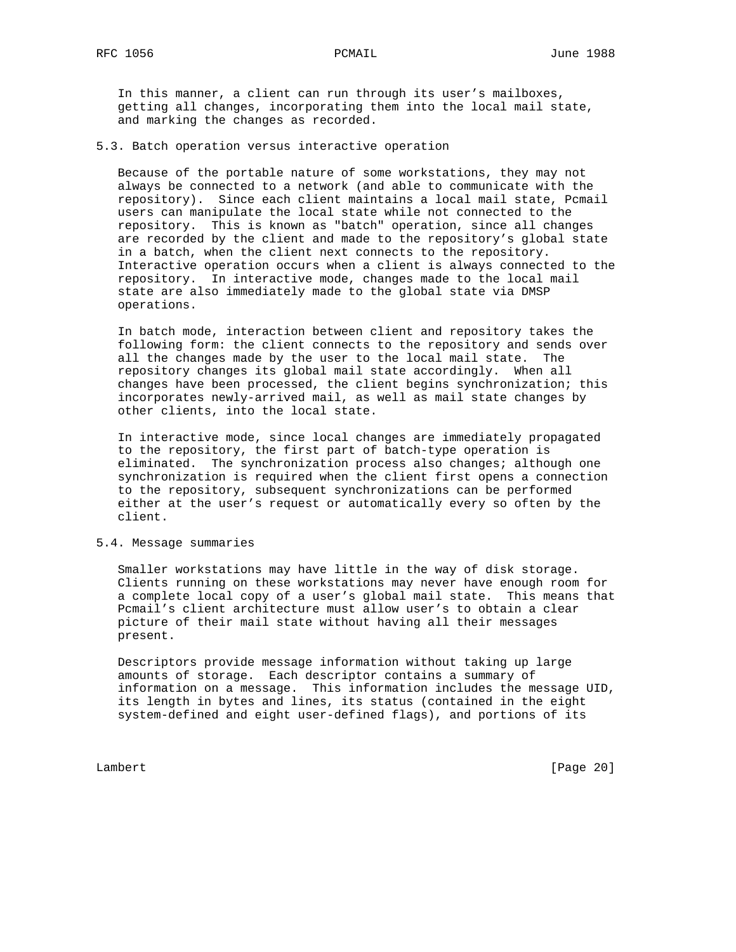In this manner, a client can run through its user's mailboxes, getting all changes, incorporating them into the local mail state, and marking the changes as recorded.

# 5.3. Batch operation versus interactive operation

 Because of the portable nature of some workstations, they may not always be connected to a network (and able to communicate with the repository). Since each client maintains a local mail state, Pcmail users can manipulate the local state while not connected to the repository. This is known as "batch" operation, since all changes are recorded by the client and made to the repository's global state in a batch, when the client next connects to the repository. Interactive operation occurs when a client is always connected to the repository. In interactive mode, changes made to the local mail state are also immediately made to the global state via DMSP operations.

 In batch mode, interaction between client and repository takes the following form: the client connects to the repository and sends over all the changes made by the user to the local mail state. The repository changes its global mail state accordingly. When all changes have been processed, the client begins synchronization; this incorporates newly-arrived mail, as well as mail state changes by other clients, into the local state.

 In interactive mode, since local changes are immediately propagated to the repository, the first part of batch-type operation is eliminated. The synchronization process also changes; although one synchronization is required when the client first opens a connection to the repository, subsequent synchronizations can be performed either at the user's request or automatically every so often by the client.

## 5.4. Message summaries

 Smaller workstations may have little in the way of disk storage. Clients running on these workstations may never have enough room for a complete local copy of a user's global mail state. This means that Pcmail's client architecture must allow user's to obtain a clear picture of their mail state without having all their messages present.

 Descriptors provide message information without taking up large amounts of storage. Each descriptor contains a summary of information on a message. This information includes the message UID, its length in bytes and lines, its status (contained in the eight system-defined and eight user-defined flags), and portions of its

Lambert [Page 20]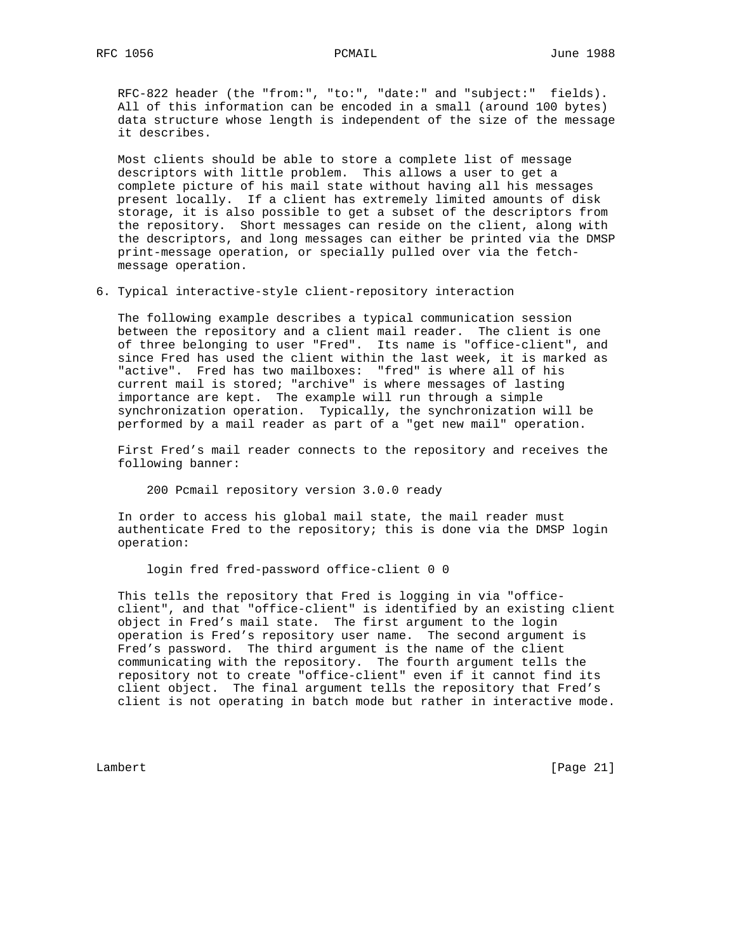RFC-822 header (the "from:", "to:", "date:" and "subject:" fields). All of this information can be encoded in a small (around 100 bytes) data structure whose length is independent of the size of the message it describes.

 Most clients should be able to store a complete list of message descriptors with little problem. This allows a user to get a complete picture of his mail state without having all his messages present locally. If a client has extremely limited amounts of disk storage, it is also possible to get a subset of the descriptors from the repository. Short messages can reside on the client, along with the descriptors, and long messages can either be printed via the DMSP print-message operation, or specially pulled over via the fetch message operation.

6. Typical interactive-style client-repository interaction

 The following example describes a typical communication session between the repository and a client mail reader. The client is one of three belonging to user "Fred". Its name is "office-client", and since Fred has used the client within the last week, it is marked as "active". Fred has two mailboxes: "fred" is where all of his current mail is stored; "archive" is where messages of lasting importance are kept. The example will run through a simple synchronization operation. Typically, the synchronization will be performed by a mail reader as part of a "get new mail" operation.

 First Fred's mail reader connects to the repository and receives the following banner:

200 Pcmail repository version 3.0.0 ready

 In order to access his global mail state, the mail reader must authenticate Fred to the repository; this is done via the DMSP login operation:

login fred fred-password office-client 0 0

 This tells the repository that Fred is logging in via "office client", and that "office-client" is identified by an existing client object in Fred's mail state. The first argument to the login operation is Fred's repository user name. The second argument is Fred's password. The third argument is the name of the client communicating with the repository. The fourth argument tells the repository not to create "office-client" even if it cannot find its client object. The final argument tells the repository that Fred's client is not operating in batch mode but rather in interactive mode.

Lambert [Page 21]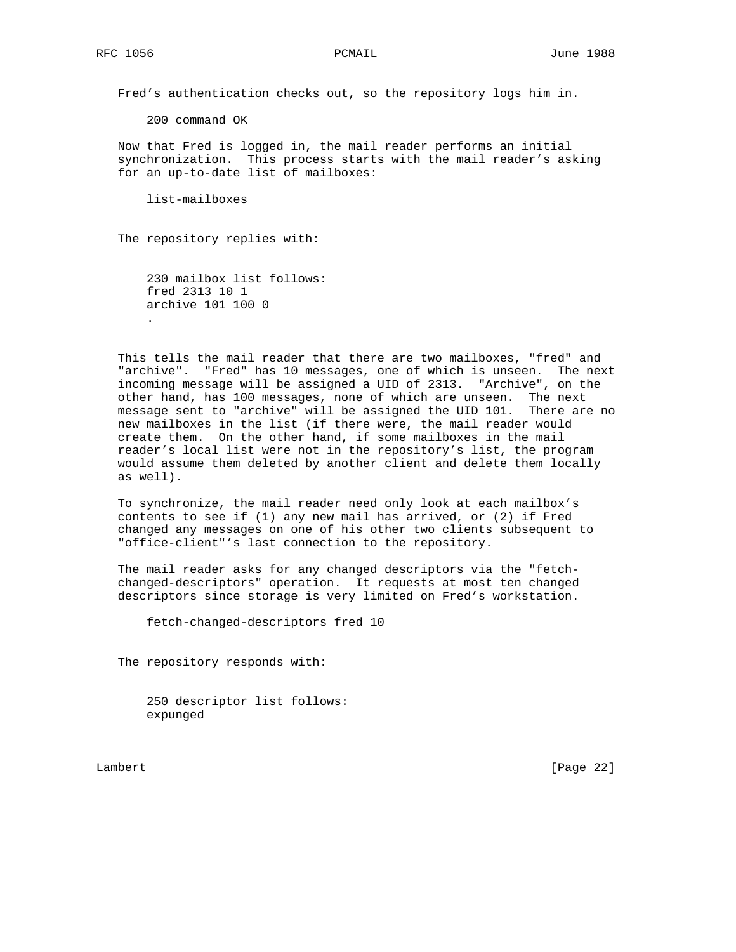Fred's authentication checks out, so the repository logs him in.

200 command OK

 Now that Fred is logged in, the mail reader performs an initial synchronization. This process starts with the mail reader's asking for an up-to-date list of mailboxes:

list-mailboxes

The repository replies with:

 230 mailbox list follows: fred 2313 10 1 archive 101 100 0 .

 This tells the mail reader that there are two mailboxes, "fred" and "archive". "Fred" has 10 messages, one of which is unseen. The next incoming message will be assigned a UID of 2313. "Archive", on the other hand, has 100 messages, none of which are unseen. The next message sent to "archive" will be assigned the UID 101. There are no new mailboxes in the list (if there were, the mail reader would create them. On the other hand, if some mailboxes in the mail reader's local list were not in the repository's list, the program would assume them deleted by another client and delete them locally as well).

 To synchronize, the mail reader need only look at each mailbox's contents to see if (1) any new mail has arrived, or (2) if Fred changed any messages on one of his other two clients subsequent to "office-client"'s last connection to the repository.

 The mail reader asks for any changed descriptors via the "fetch changed-descriptors" operation. It requests at most ten changed descriptors since storage is very limited on Fred's workstation.

fetch-changed-descriptors fred 10

The repository responds with:

 250 descriptor list follows: expunged

Lambert [Page 22]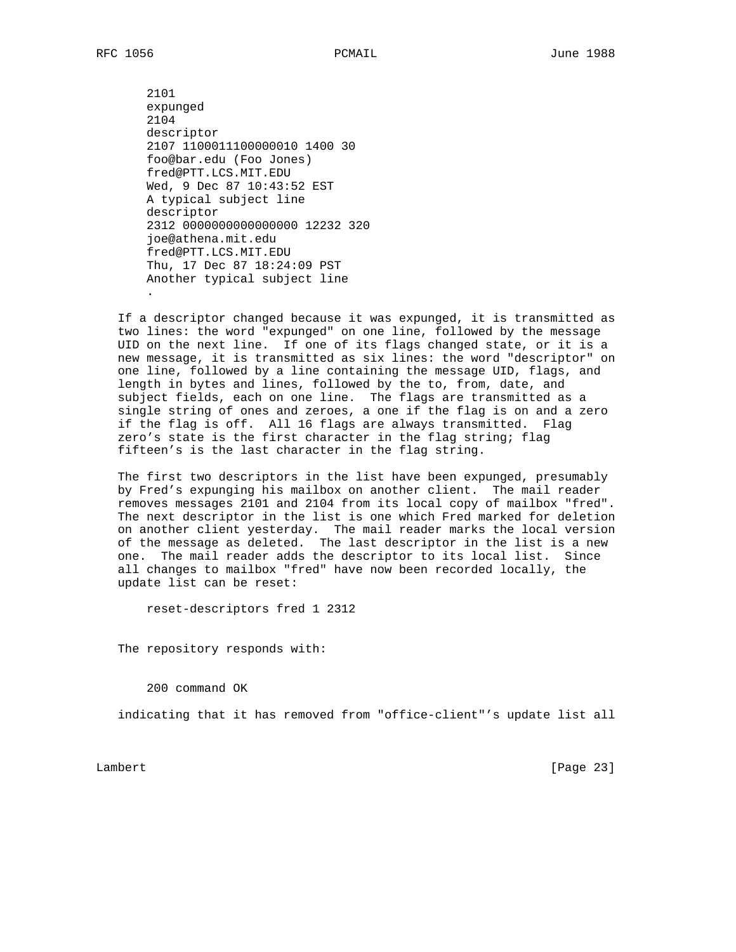2101 expunged 2104 descriptor 2107 1100011100000010 1400 30 foo@bar.edu (Foo Jones) fred@PTT.LCS.MIT.EDU Wed, 9 Dec 87 10:43:52 EST A typical subject line descriptor 2312 0000000000000000 12232 320 joe@athena.mit.edu fred@PTT.LCS.MIT.EDU Thu, 17 Dec 87 18:24:09 PST Another typical subject line .

 If a descriptor changed because it was expunged, it is transmitted as two lines: the word "expunged" on one line, followed by the message UID on the next line. If one of its flags changed state, or it is a new message, it is transmitted as six lines: the word "descriptor" on one line, followed by a line containing the message UID, flags, and length in bytes and lines, followed by the to, from, date, and subject fields, each on one line. The flags are transmitted as a single string of ones and zeroes, a one if the flag is on and a zero if the flag is off. All 16 flags are always transmitted. Flag zero's state is the first character in the flag string; flag fifteen's is the last character in the flag string.

 The first two descriptors in the list have been expunged, presumably by Fred's expunging his mailbox on another client. The mail reader removes messages 2101 and 2104 from its local copy of mailbox "fred". The next descriptor in the list is one which Fred marked for deletion on another client yesterday. The mail reader marks the local version of the message as deleted. The last descriptor in the list is a new one. The mail reader adds the descriptor to its local list. Since all changes to mailbox "fred" have now been recorded locally, the update list can be reset:

reset-descriptors fred 1 2312

The repository responds with:

200 command OK

indicating that it has removed from "office-client"'s update list all

Lambert [Page 23]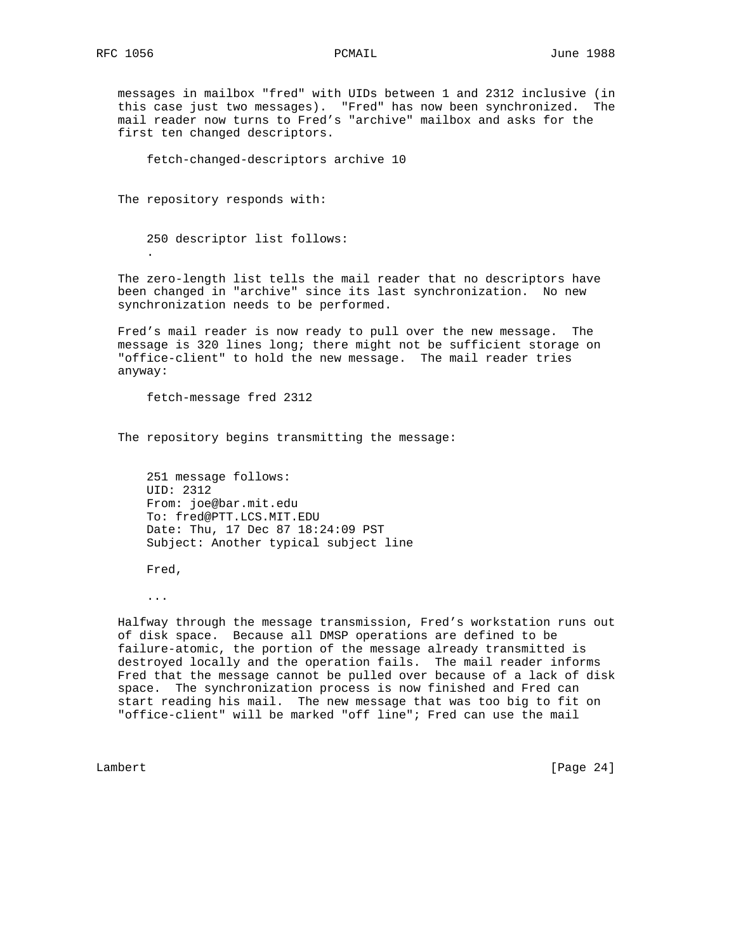.

 messages in mailbox "fred" with UIDs between 1 and 2312 inclusive (in this case just two messages). "Fred" has now been synchronized. The mail reader now turns to Fred's "archive" mailbox and asks for the first ten changed descriptors.

fetch-changed-descriptors archive 10

The repository responds with:

250 descriptor list follows:

 The zero-length list tells the mail reader that no descriptors have been changed in "archive" since its last synchronization. No new synchronization needs to be performed.

 Fred's mail reader is now ready to pull over the new message. The message is 320 lines long; there might not be sufficient storage on "office-client" to hold the new message. The mail reader tries anyway:

fetch-message fred 2312

The repository begins transmitting the message:

 251 message follows: UID: 2312 From: joe@bar.mit.edu To: fred@PTT.LCS.MIT.EDU Date: Thu, 17 Dec 87 18:24:09 PST Subject: Another typical subject line

Fred,

...

 Halfway through the message transmission, Fred's workstation runs out of disk space. Because all DMSP operations are defined to be failure-atomic, the portion of the message already transmitted is destroyed locally and the operation fails. The mail reader informs Fred that the message cannot be pulled over because of a lack of disk space. The synchronization process is now finished and Fred can start reading his mail. The new message that was too big to fit on "office-client" will be marked "off line"; Fred can use the mail

Lambert [Page 24]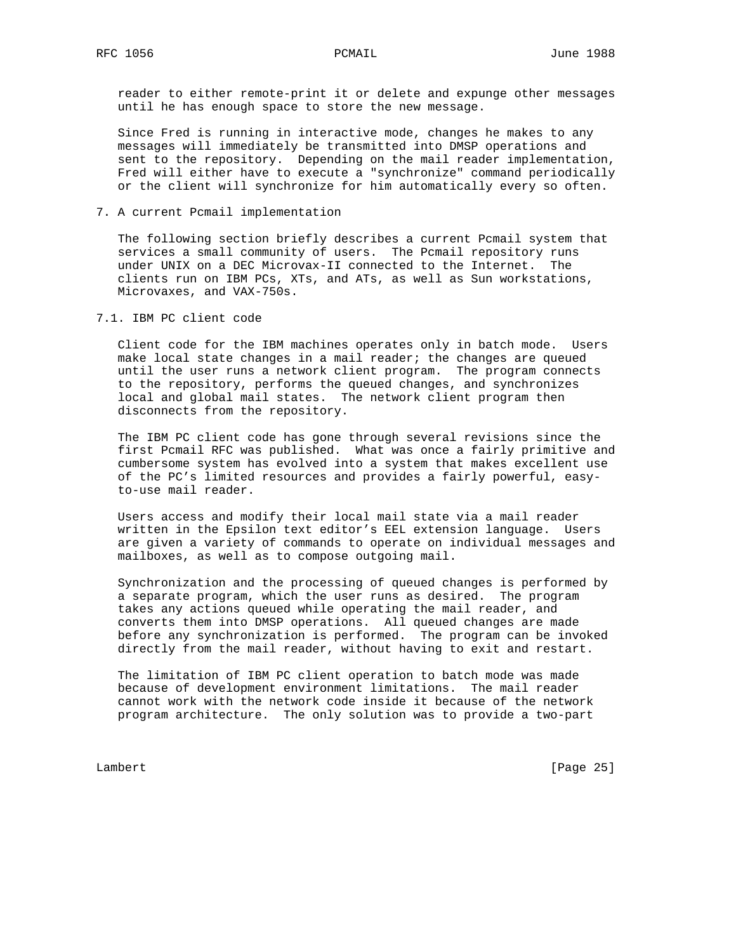reader to either remote-print it or delete and expunge other messages until he has enough space to store the new message.

 Since Fred is running in interactive mode, changes he makes to any messages will immediately be transmitted into DMSP operations and sent to the repository. Depending on the mail reader implementation, Fred will either have to execute a "synchronize" command periodically or the client will synchronize for him automatically every so often.

7. A current Pcmail implementation

 The following section briefly describes a current Pcmail system that services a small community of users. The Pcmail repository runs under UNIX on a DEC Microvax-II connected to the Internet. The clients run on IBM PCs, XTs, and ATs, as well as Sun workstations, Microvaxes, and VAX-750s.

7.1. IBM PC client code

 Client code for the IBM machines operates only in batch mode. Users make local state changes in a mail reader; the changes are queued until the user runs a network client program. The program connects to the repository, performs the queued changes, and synchronizes local and global mail states. The network client program then disconnects from the repository.

 The IBM PC client code has gone through several revisions since the first Pcmail RFC was published. What was once a fairly primitive and cumbersome system has evolved into a system that makes excellent use of the PC's limited resources and provides a fairly powerful, easy to-use mail reader.

 Users access and modify their local mail state via a mail reader written in the Epsilon text editor's EEL extension language. Users are given a variety of commands to operate on individual messages and mailboxes, as well as to compose outgoing mail.

 Synchronization and the processing of queued changes is performed by a separate program, which the user runs as desired. The program takes any actions queued while operating the mail reader, and converts them into DMSP operations. All queued changes are made before any synchronization is performed. The program can be invoked directly from the mail reader, without having to exit and restart.

 The limitation of IBM PC client operation to batch mode was made because of development environment limitations. The mail reader cannot work with the network code inside it because of the network program architecture. The only solution was to provide a two-part

Lambert [Page 25]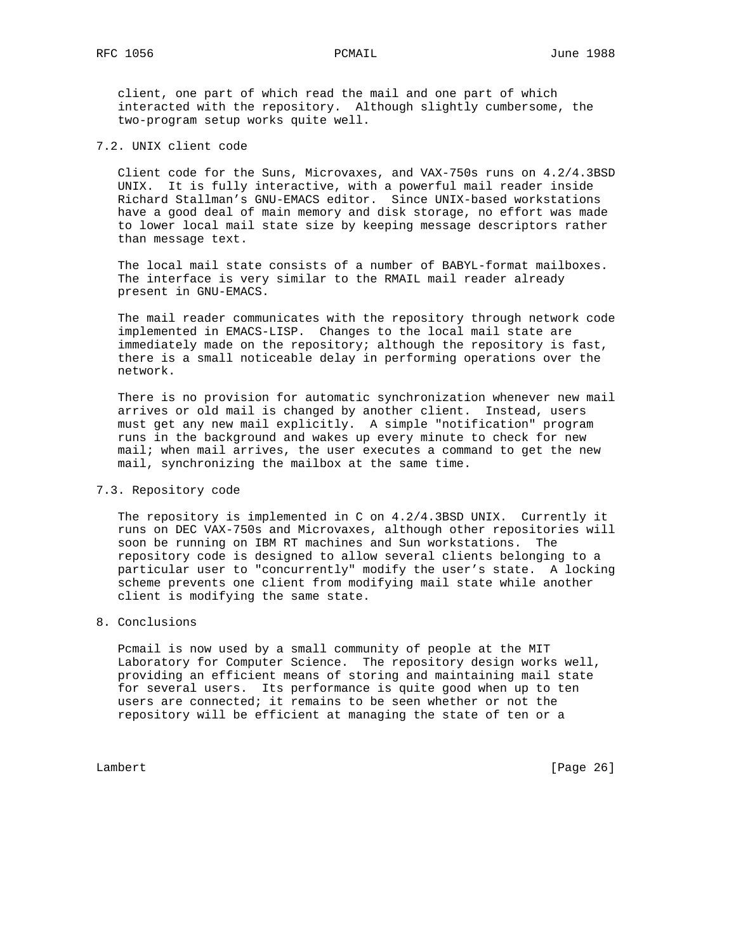client, one part of which read the mail and one part of which interacted with the repository. Although slightly cumbersome, the two-program setup works quite well.

# 7.2. UNIX client code

 Client code for the Suns, Microvaxes, and VAX-750s runs on 4.2/4.3BSD UNIX. It is fully interactive, with a powerful mail reader inside Richard Stallman's GNU-EMACS editor. Since UNIX-based workstations have a good deal of main memory and disk storage, no effort was made to lower local mail state size by keeping message descriptors rather than message text.

 The local mail state consists of a number of BABYL-format mailboxes. The interface is very similar to the RMAIL mail reader already present in GNU-EMACS.

 The mail reader communicates with the repository through network code implemented in EMACS-LISP. Changes to the local mail state are immediately made on the repository; although the repository is fast, there is a small noticeable delay in performing operations over the network.

 There is no provision for automatic synchronization whenever new mail arrives or old mail is changed by another client. Instead, users must get any new mail explicitly. A simple "notification" program runs in the background and wakes up every minute to check for new mail; when mail arrives, the user executes a command to get the new mail, synchronizing the mailbox at the same time.

# 7.3. Repository code

 The repository is implemented in C on 4.2/4.3BSD UNIX. Currently it runs on DEC VAX-750s and Microvaxes, although other repositories will soon be running on IBM RT machines and Sun workstations. The repository code is designed to allow several clients belonging to a particular user to "concurrently" modify the user's state. A locking scheme prevents one client from modifying mail state while another client is modifying the same state.

# 8. Conclusions

 Pcmail is now used by a small community of people at the MIT Laboratory for Computer Science. The repository design works well, providing an efficient means of storing and maintaining mail state for several users. Its performance is quite good when up to ten users are connected; it remains to be seen whether or not the repository will be efficient at managing the state of ten or a

Lambert [Page 26]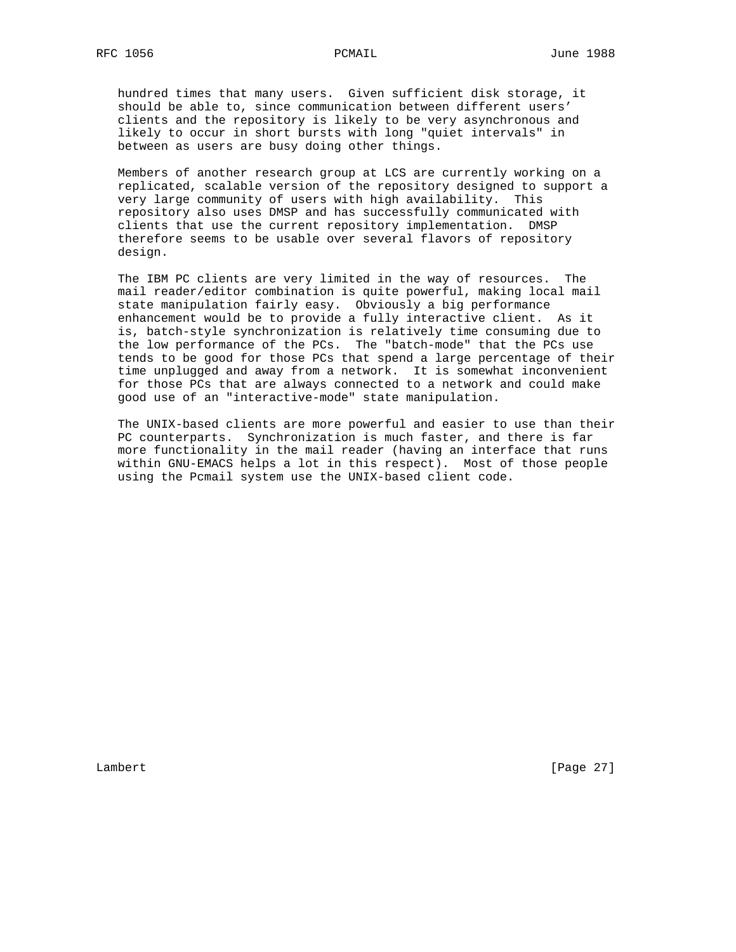hundred times that many users. Given sufficient disk storage, it should be able to, since communication between different users' clients and the repository is likely to be very asynchronous and likely to occur in short bursts with long "quiet intervals" in between as users are busy doing other things.

 Members of another research group at LCS are currently working on a replicated, scalable version of the repository designed to support a very large community of users with high availability. This repository also uses DMSP and has successfully communicated with clients that use the current repository implementation. DMSP therefore seems to be usable over several flavors of repository design.

 The IBM PC clients are very limited in the way of resources. The mail reader/editor combination is quite powerful, making local mail state manipulation fairly easy. Obviously a big performance enhancement would be to provide a fully interactive client. As it is, batch-style synchronization is relatively time consuming due to the low performance of the PCs. The "batch-mode" that the PCs use tends to be good for those PCs that spend a large percentage of their time unplugged and away from a network. It is somewhat inconvenient for those PCs that are always connected to a network and could make good use of an "interactive-mode" state manipulation.

 The UNIX-based clients are more powerful and easier to use than their PC counterparts. Synchronization is much faster, and there is far more functionality in the mail reader (having an interface that runs within GNU-EMACS helps a lot in this respect). Most of those people using the Pcmail system use the UNIX-based client code.

Lambert [Page 27]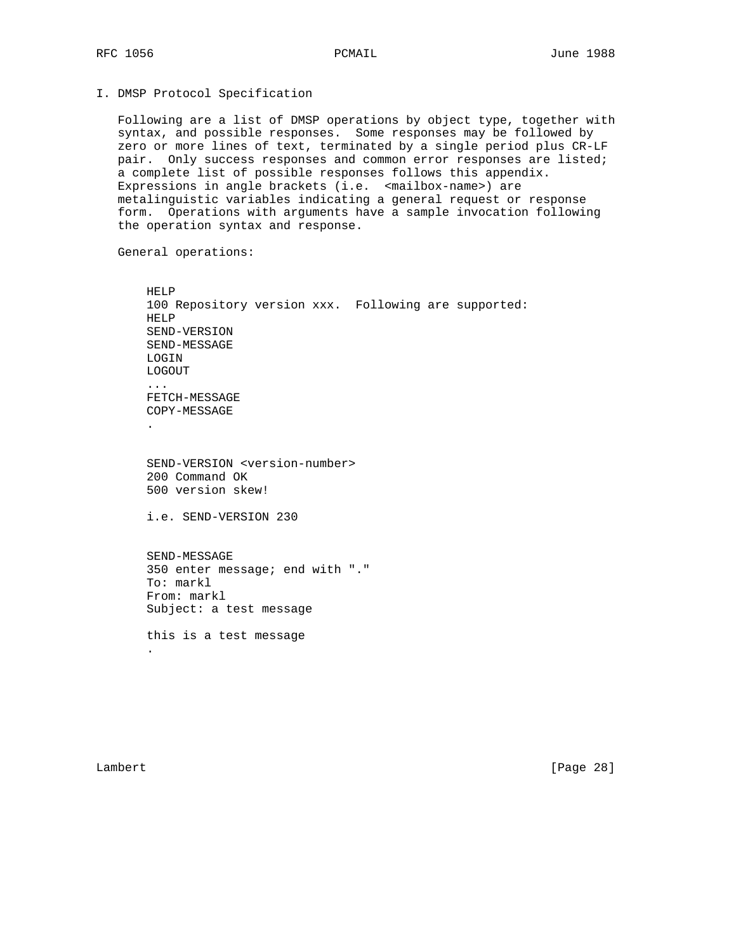# I. DMSP Protocol Specification

 Following are a list of DMSP operations by object type, together with syntax, and possible responses. Some responses may be followed by zero or more lines of text, terminated by a single period plus CR-LF pair. Only success responses and common error responses are listed; a complete list of possible responses follows this appendix. Expressions in angle brackets (i.e. <mailbox-name>) are metalinguistic variables indicating a general request or response form. Operations with arguments have a sample invocation following the operation syntax and response.

General operations:

```
 HELP
       100 Repository version xxx. Following are supported:
       HELP
       SEND-VERSION
       SEND-MESSAGE
       LOGIN
       LOGOUT
        ...
       FETCH-MESSAGE
       COPY-MESSAGE
 .
        SEND-VERSION <version-number>
        200 Command OK
       500 version skew!
        i.e. SEND-VERSION 230
       SEND-MESSAGE
        350 enter message; end with "."
        To: markl
        From: markl
       Subject: a test message
```
 this is a test message .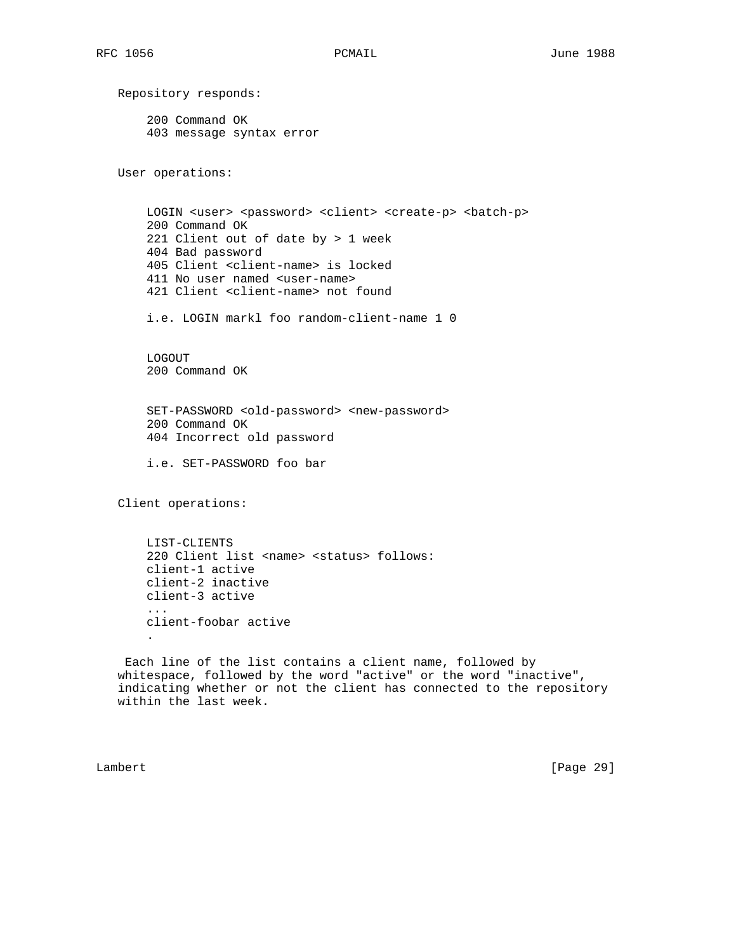Repository responds: 200 Command OK 403 message syntax error User operations: LOGIN <user> <password> <client> <create-p> <batch-p> 200 Command OK 221 Client out of date by > 1 week 404 Bad password 405 Client <client-name> is locked 411 No user named <user-name> 421 Client <client-name> not found i.e. LOGIN markl foo random-client-name 1 0 LOGOUT 200 Command OK SET-PASSWORD <old-password> <new-password> 200 Command OK 404 Incorrect old password i.e. SET-PASSWORD foo bar Client operations: LIST-CLIENTS 220 Client list <name> <status> follows: client-1 active client-2 inactive client-3 active ... client-foobar active . Each line of the list contains a client name, followed by whitespace, followed by the word "active" or the word "inactive", indicating whether or not the client has connected to the repository within the last week.

Lambert [Page 29]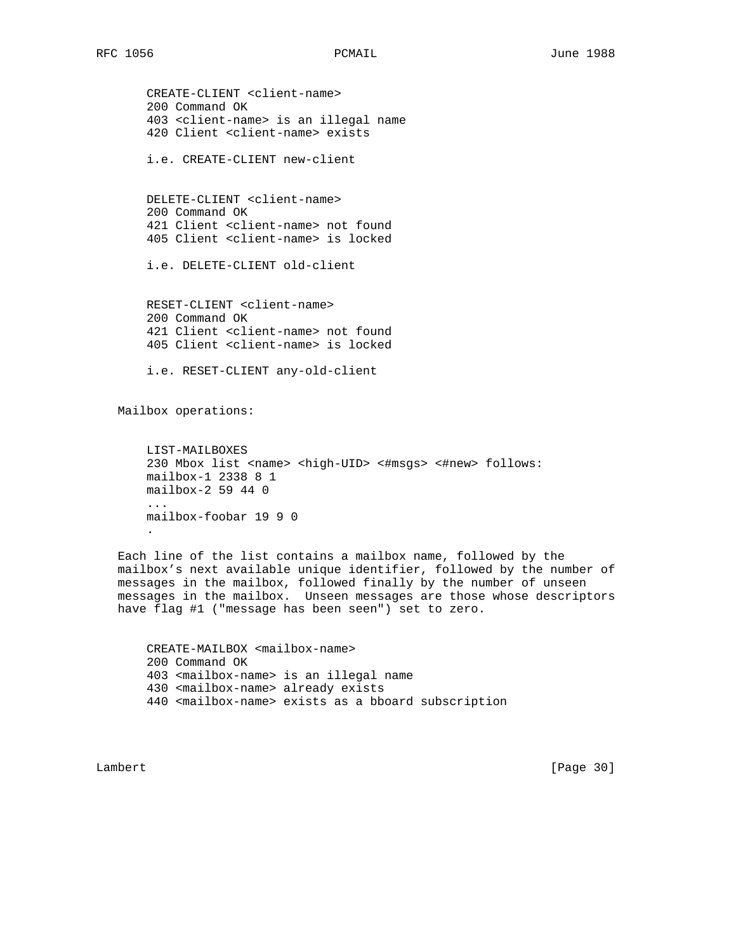CREATE-CLIENT <client-name> 200 Command OK 403 <client-name> is an illegal name 420 Client <client-name> exists

i.e. CREATE-CLIENT new-client

 DELETE-CLIENT <client-name> 200 Command OK 421 Client <client-name> not found 405 Client <client-name> is locked

i.e. DELETE-CLIENT old-client

 RESET-CLIENT <client-name> 200 Command OK 421 Client <client-name> not found 405 Client <client-name> is locked

i.e. RESET-CLIENT any-old-client

Mailbox operations:

 LIST-MAILBOXES 230 Mbox list <name> <high-UID> <#msgs> <#new> follows: mailbox-1 2338 8 1 mailbox-2 59 44 0 ... mailbox-foobar 19 9 0 .

 Each line of the list contains a mailbox name, followed by the mailbox's next available unique identifier, followed by the number of messages in the mailbox, followed finally by the number of unseen messages in the mailbox. Unseen messages are those whose descriptors have flag #1 ("message has been seen") set to zero.

 CREATE-MAILBOX <mailbox-name> 200 Command OK 403 <mailbox-name> is an illegal name 430 <mailbox-name> already exists 440 <mailbox-name> exists as a bboard subscription

Lambert [Page 30]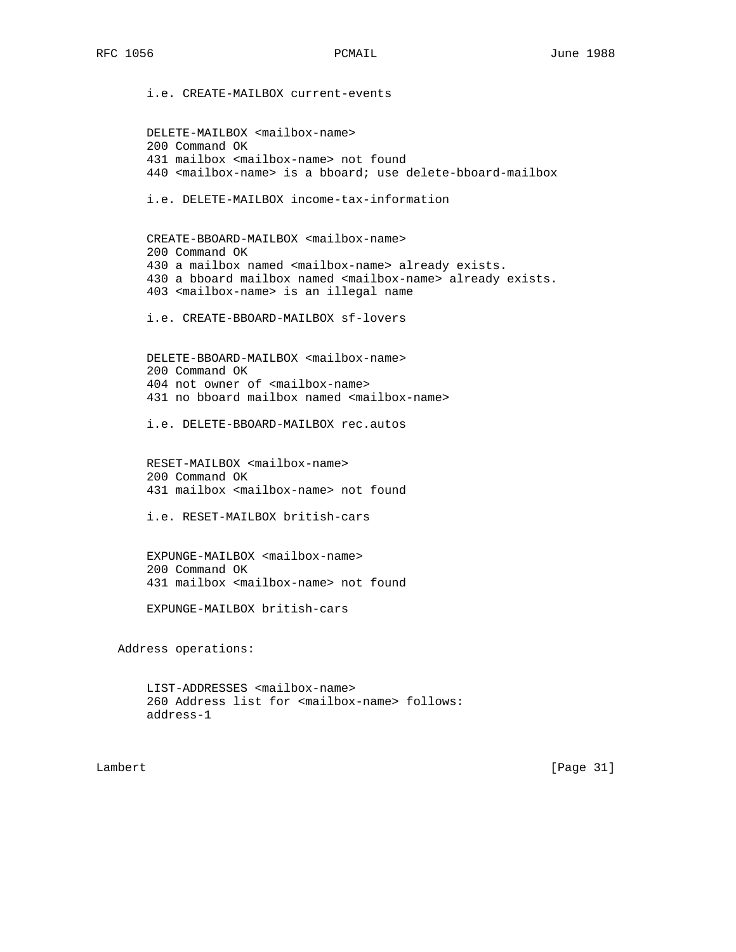i.e. CREATE-MAILBOX current-events DELETE-MAILBOX <mailbox-name> 200 Command OK 431 mailbox <mailbox-name> not found 440 <mailbox-name> is a bboard; use delete-bboard-mailbox i.e. DELETE-MAILBOX income-tax-information CREATE-BBOARD-MAILBOX <mailbox-name> 200 Command OK 430 a mailbox named <mailbox-name> already exists. 430 a bboard mailbox named <mailbox-name> already exists. 403 <mailbox-name> is an illegal name i.e. CREATE-BBOARD-MAILBOX sf-lovers DELETE-BBOARD-MAILBOX <mailbox-name> 200 Command OK 404 not owner of <mailbox-name> 431 no bboard mailbox named <mailbox-name> i.e. DELETE-BBOARD-MAILBOX rec.autos RESET-MAILBOX <mailbox-name> 200 Command OK 431 mailbox <mailbox-name> not found i.e. RESET-MAILBOX british-cars EXPUNGE-MAILBOX <mailbox-name> 200 Command OK 431 mailbox <mailbox-name> not found EXPUNGE-MAILBOX british-cars Address operations:

 LIST-ADDRESSES <mailbox-name> 260 Address list for <mailbox-name> follows: address-1

Lambert [Page 31]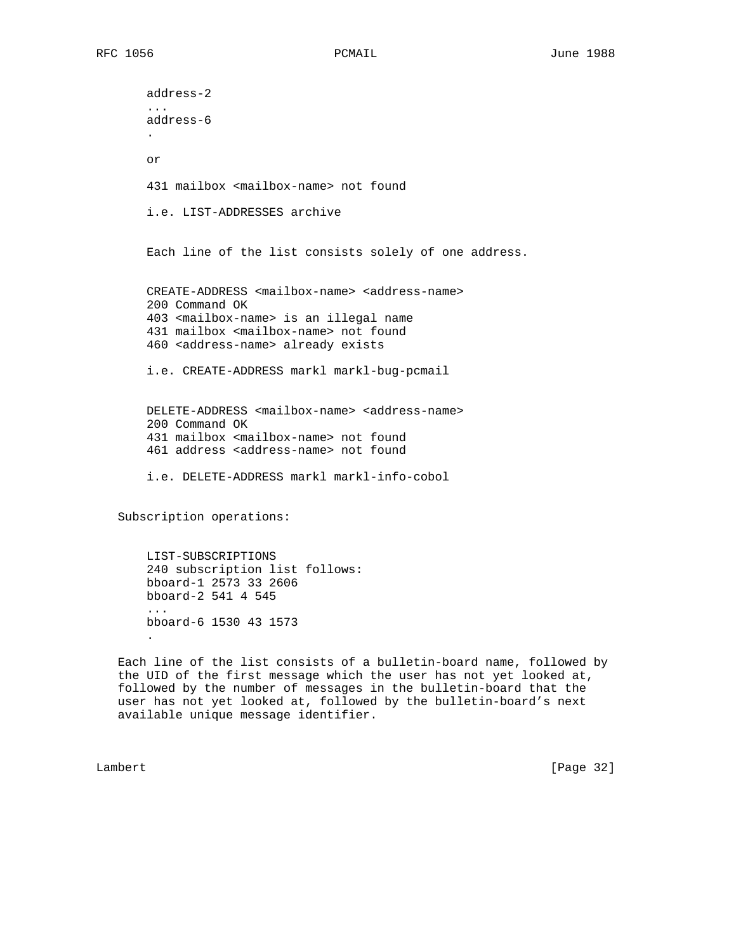address-2 ... address-6 . or 431 mailbox <mailbox-name> not found i.e. LIST-ADDRESSES archive Each line of the list consists solely of one address. CREATE-ADDRESS <mailbox-name> <address-name> 200 Command OK 403 <mailbox-name> is an illegal name 431 mailbox <mailbox-name> not found 460 <address-name> already exists i.e. CREATE-ADDRESS markl markl-bug-pcmail DELETE-ADDRESS <mailbox-name> <address-name> 200 Command OK 431 mailbox <mailbox-name> not found 461 address <address-name> not found i.e. DELETE-ADDRESS markl markl-info-cobol Subscription operations:

 LIST-SUBSCRIPTIONS 240 subscription list follows: bboard-1 2573 33 2606 bboard-2 541 4 545 ... bboard-6 1530 43 1573 .

 Each line of the list consists of a bulletin-board name, followed by the UID of the first message which the user has not yet looked at, followed by the number of messages in the bulletin-board that the user has not yet looked at, followed by the bulletin-board's next available unique message identifier.

Lambert [Page 32]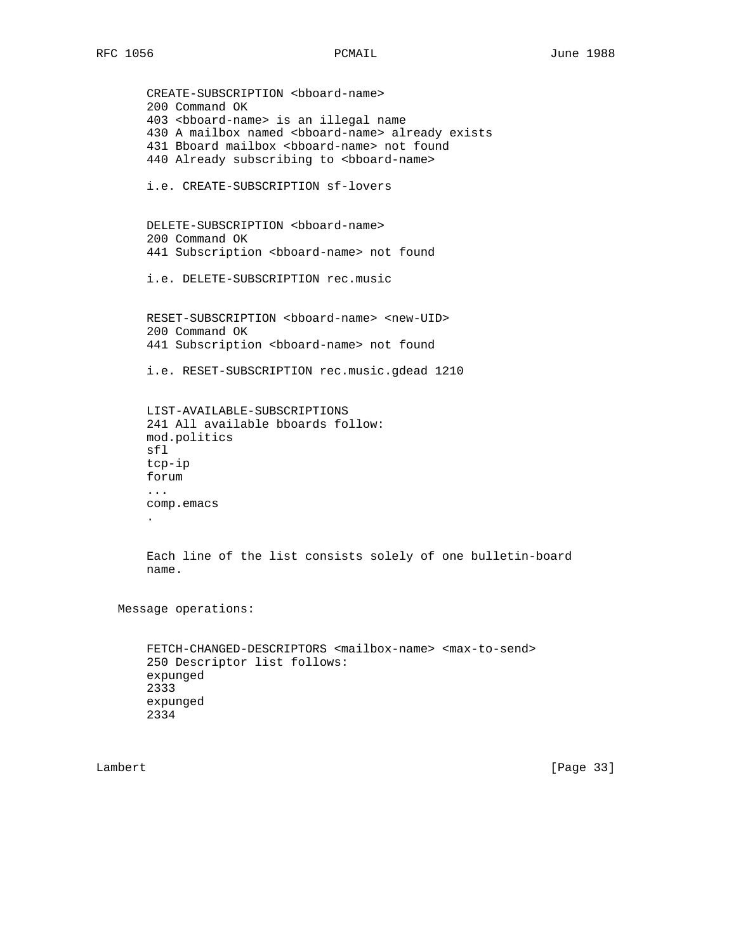```
CREATE-SUBSCRIPTION <br/>bboard-name>
        200 Command OK
        403 <bboard-name> is an illegal name
        430 A mailbox named <bboard-name> already exists
       431 Bboard mailbox <bboard-name> not found
       440 Already subscribing to <bb>oard-name>
       i.e. CREATE-SUBSCRIPTION sf-lovers
      DELETE-SUBSCRIPTION <bb>>board-name>
       200 Command OK
       441 Subscription <bboard-name> not found
        i.e. DELETE-SUBSCRIPTION rec.music
       RESET-SUBSCRIPTION <bboard-name> <new-UID>
       200 Command OK
       441 Subscription <bboard-name> not found
       i.e. RESET-SUBSCRIPTION rec.music.gdead 1210
       LIST-AVAILABLE-SUBSCRIPTIONS
       241 All available bboards follow:
       mod.politics
       sfl
       tcp-ip
       forum
        ...
       comp.emacs
 .
       Each line of the list consists solely of one bulletin-board
       name.
   Message operations:
       FETCH-CHANGED-DESCRIPTORS <mailbox-name> <max-to-send>
       250 Descriptor list follows:
       expunged
```
 2333 expunged 2334

Lambert [Page 33]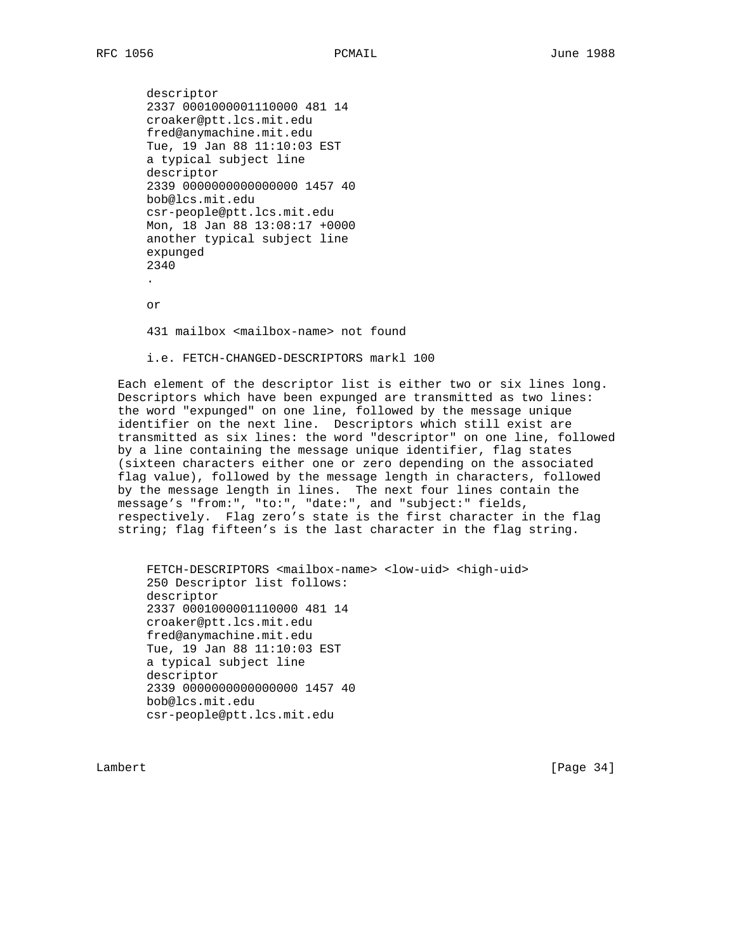descriptor 2337 0001000001110000 481 14 croaker@ptt.lcs.mit.edu fred@anymachine.mit.edu Tue, 19 Jan 88 11:10:03 EST a typical subject line descriptor 2339 0000000000000000 1457 40 bob@lcs.mit.edu csr-people@ptt.lcs.mit.edu Mon, 18 Jan 88 13:08:17 +0000 another typical subject line expunged 2340 . or 431 mailbox <mailbox-name> not found i.e. FETCH-CHANGED-DESCRIPTORS markl 100

 Each element of the descriptor list is either two or six lines long. Descriptors which have been expunged are transmitted as two lines: the word "expunged" on one line, followed by the message unique identifier on the next line. Descriptors which still exist are transmitted as six lines: the word "descriptor" on one line, followed by a line containing the message unique identifier, flag states (sixteen characters either one or zero depending on the associated flag value), followed by the message length in characters, followed by the message length in lines. The next four lines contain the message's "from:", "to:", "date:", and "subject:" fields, respectively. Flag zero's state is the first character in the flag string; flag fifteen's is the last character in the flag string.

 FETCH-DESCRIPTORS <mailbox-name> <low-uid> <high-uid> 250 Descriptor list follows: descriptor 2337 0001000001110000 481 14 croaker@ptt.lcs.mit.edu fred@anymachine.mit.edu Tue, 19 Jan 88 11:10:03 EST a typical subject line descriptor 2339 0000000000000000 1457 40 bob@lcs.mit.edu csr-people@ptt.lcs.mit.edu

Lambert [Page 34]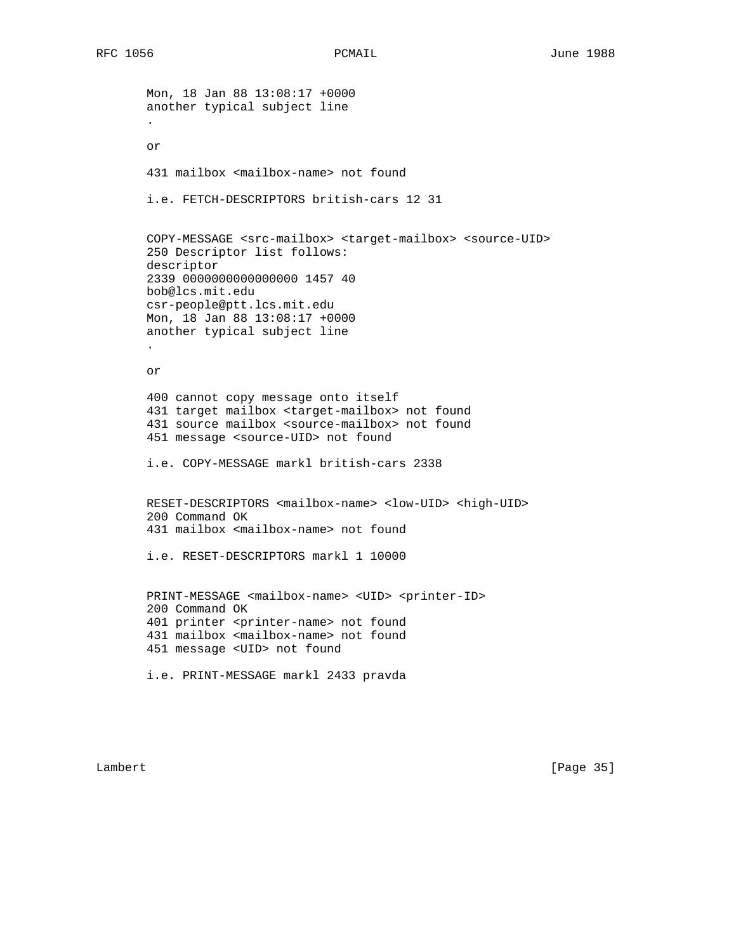Mon, 18 Jan 88 13:08:17 +0000 another typical subject line . or 431 mailbox <mailbox-name> not found i.e. FETCH-DESCRIPTORS british-cars 12 31 COPY-MESSAGE <src-mailbox> <target-mailbox> <source-UID> 250 Descriptor list follows: descriptor 2339 0000000000000000 1457 40 bob@lcs.mit.edu csr-people@ptt.lcs.mit.edu Mon, 18 Jan 88 13:08:17 +0000 another typical subject line . or 400 cannot copy message onto itself 431 target mailbox <target-mailbox> not found 431 source mailbox <source-mailbox> not found 451 message <source-UID> not found i.e. COPY-MESSAGE markl british-cars 2338 RESET-DESCRIPTORS <mailbox-name> <low-UID> <high-UID> 200 Command OK 431 mailbox <mailbox-name> not found i.e. RESET-DESCRIPTORS markl 1 10000 PRINT-MESSAGE <mailbox-name> <UID> <printer-ID> 200 Command OK 401 printer <printer-name> not found 431 mailbox <mailbox-name> not found 451 message <UID> not found i.e. PRINT-MESSAGE markl 2433 pravda

Lambert [Page 35]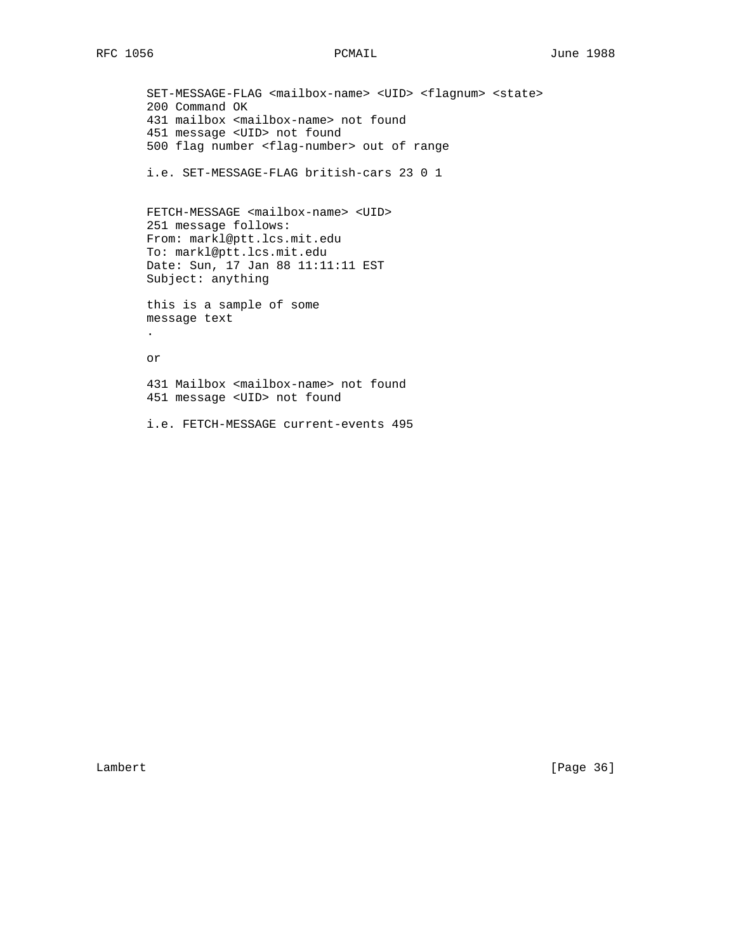SET-MESSAGE-FLAG <mailbox-name> <UID> <flagnum> <state> 200 Command OK 431 mailbox <mailbox-name> not found 451 message <UID> not found 500 flag number <flag-number> out of range i.e. SET-MESSAGE-FLAG british-cars 23 0 1 FETCH-MESSAGE <mailbox-name> <UID> 251 message follows: From: markl@ptt.lcs.mit.edu To: markl@ptt.lcs.mit.edu Date: Sun, 17 Jan 88 11:11:11 EST Subject: anything this is a sample of some message text . or 431 Mailbox <mailbox-name> not found 451 message <UID> not found i.e. FETCH-MESSAGE current-events 495

Lambert [Page 36]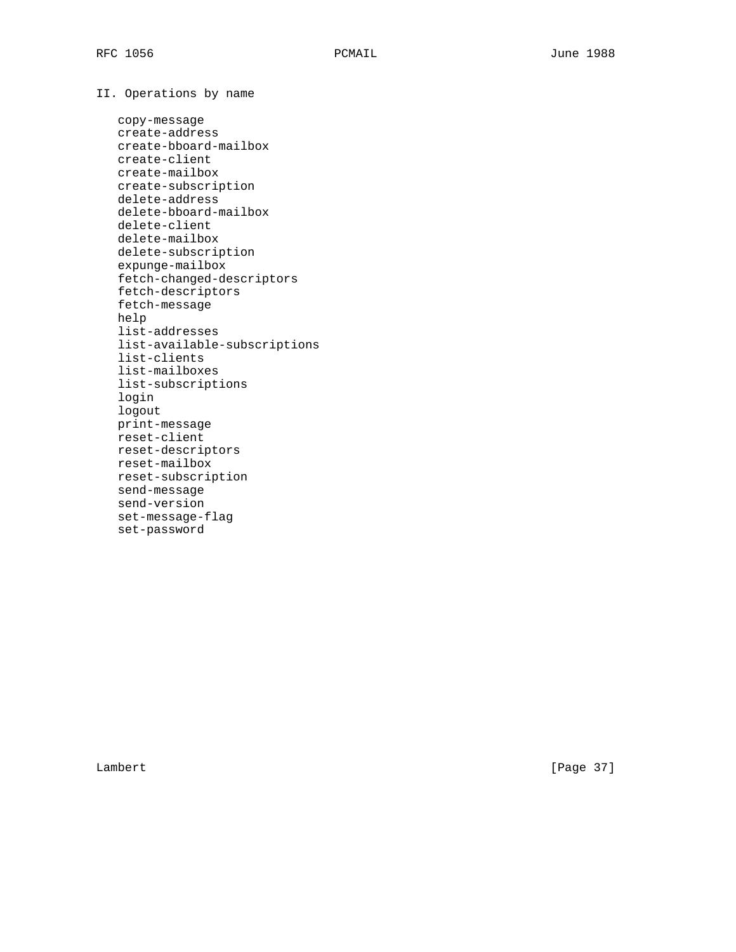II. Operations by name

 copy-message create-address create-bboard-mailbox create-client create-mailbox create-subscription delete-address delete-bboard-mailbox delete-client delete-mailbox delete-subscription expunge-mailbox fetch-changed-descriptors fetch-descriptors fetch-message help list-addresses list-available-subscriptions list-clients list-mailboxes list-subscriptions login logout print-message reset-client reset-descriptors reset-mailbox reset-subscription send-message send-version set-message-flag set-password

Lambert [Page 37]